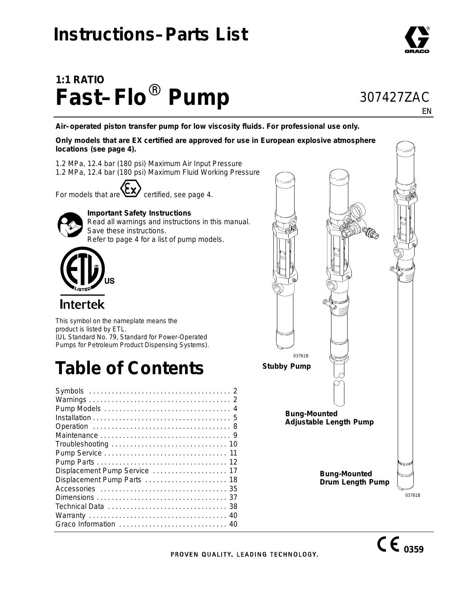### **Instructions–Parts List**

# **1:1 RATIO Fast–Flo**- **Pump**

**Air–operated piston transfer pump for low viscosity fluids. For professional use only.**

**Only models that are EX certified are approved for use in European explosive atmosphere locations (see page 4).**

*1.2 MPa, 12.4 bar (180 psi) Maximum Air Input Pressure 1.2 MPa, 12.4 bar (180 psi) Maximum Fluid Working Pressure*

For models that are  $\sum$  certified, see page 4.



#### **Important Safety Instructions**

Read all warnings and instructions in this manual. Save these instructions. Refer to page 4 for a list of pump models.



**Intertek** 

This symbol on the nameplate means the product is listed by ETL. (UL Standard No. 79, Standard for Power-Operated Pumps for Petroleum Product Dispensing Systems).

# **Table of Contents**



EN

307427ZAC

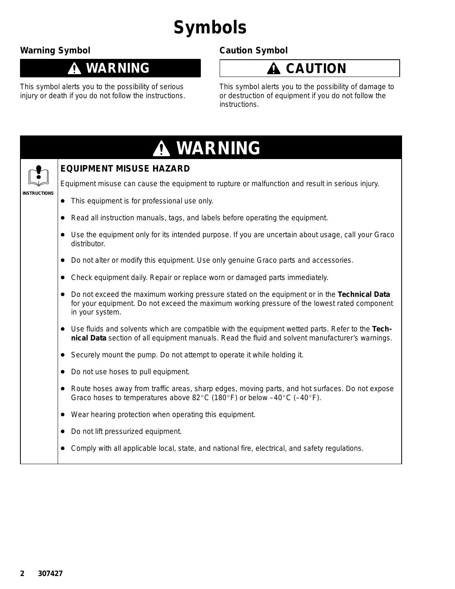# **Symbols**

### **Warning Symbol**

↑

### **WARNING**

This symbol alerts you to the possibility of serious injury or death if you do not follow the instructions.

### **Caution Symbol**



This symbol alerts you to the possibility of damage to or destruction of equipment if you do not follow the instructions.

|                     | A WARNING                                                                                                                                                                                                             |
|---------------------|-----------------------------------------------------------------------------------------------------------------------------------------------------------------------------------------------------------------------|
|                     | <b>EQUIPMENT MISUSE HAZARD</b>                                                                                                                                                                                        |
|                     | Equipment misuse can cause the equipment to rupture or malfunction and result in serious injury.                                                                                                                      |
| <b>INSTRUCTIONS</b> | This equipment is for professional use only.<br>$\bullet$                                                                                                                                                             |
|                     | Read all instruction manuals, tags, and labels before operating the equipment.<br>$\bullet$                                                                                                                           |
|                     | Use the equipment only for its intended purpose. If you are uncertain about usage, call your Graco<br>$\bullet$<br>distributor.                                                                                       |
|                     | Do not alter or modify this equipment. Use only genuine Graco parts and accessories.<br>$\bullet$                                                                                                                     |
|                     | Check equipment daily. Repair or replace worn or damaged parts immediately.<br>$\bullet$                                                                                                                              |
|                     | Do not exceed the maximum working pressure stated on the equipment or in the Technical Data<br>for your equipment. Do not exceed the maximum working pressure of the lowest rated component<br>in your system.        |
|                     | Use fluids and solvents which are compatible with the equipment wetted parts. Refer to the Tech-<br>nical Data section of all equipment manuals. Read the fluid and solvent manufacturer's warnings.                  |
|                     | Securely mount the pump. Do not attempt to operate it while holding it.<br>$\bullet$                                                                                                                                  |
|                     | Do not use hoses to pull equipment.<br>$\bullet$                                                                                                                                                                      |
|                     | Route hoses away from traffic areas, sharp edges, moving parts, and hot surfaces. Do not expose<br>Graco hoses to temperatures above 82 $^{\circ}$ C (180 $^{\circ}$ F) or below -40 $^{\circ}$ C (-40 $^{\circ}$ F). |
|                     | Wear hearing protection when operating this equipment.<br>$\bullet$                                                                                                                                                   |
|                     | Do not lift pressurized equipment.<br>$\bullet$                                                                                                                                                                       |
|                     | Comply with all applicable local, state, and national fire, electrical, and safety regulations.                                                                                                                       |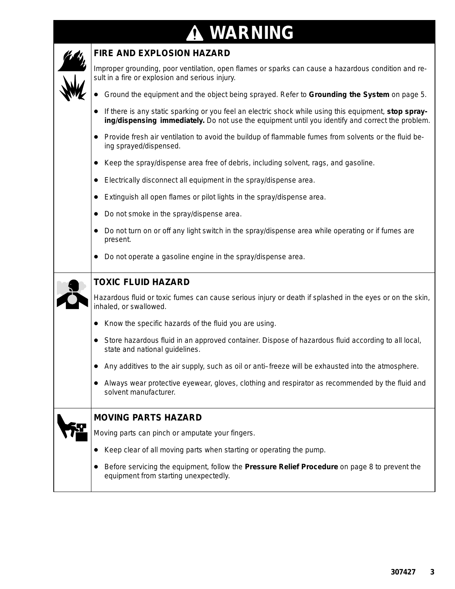# **A WARNING**

Г

| <b>FIRE AND EXPLOSION HAZARD</b>                                                                                                                                                                          |
|-----------------------------------------------------------------------------------------------------------------------------------------------------------------------------------------------------------|
| Improper grounding, poor ventilation, open flames or sparks can cause a hazardous condition and re-<br>sult in a fire or explosion and serious injury.                                                    |
| Ground the equipment and the object being sprayed. Refer to Grounding the System on page 5.                                                                                                               |
| If there is any static sparking or you feel an electric shock while using this equipment, stop spray-<br>ing/dispensing immediately. Do not use the equipment until you identify and correct the problem. |
| • Provide fresh air ventilation to avoid the buildup of flammable fumes from solvents or the fluid be-<br>ing sprayed/dispensed.                                                                          |
| Keep the spray/dispense area free of debris, including solvent, rags, and gasoline.                                                                                                                       |
| Electrically disconnect all equipment in the spray/dispense area.                                                                                                                                         |
| Extinguish all open flames or pilot lights in the spray/dispense area.                                                                                                                                    |
| Do not smoke in the spray/dispense area.                                                                                                                                                                  |
| Do not turn on or off any light switch in the spray/dispense area while operating or if fumes are<br>present.                                                                                             |
| Do not operate a gasoline engine in the spray/dispense area.                                                                                                                                              |
| <b>TOXIC FLUID HAZARD</b>                                                                                                                                                                                 |
| Hazardous fluid or toxic fumes can cause serious injury or death if splashed in the eyes or on the skin,<br>inhaled, or swallowed.                                                                        |
| • Know the specific hazards of the fluid you are using.                                                                                                                                                   |
| • Store hazardous fluid in an approved container. Dispose of hazardous fluid according to all local,<br>state and national guidelines.                                                                    |
| Any additives to the air supply, such as oil or anti-freeze will be exhausted into the atmosphere.                                                                                                        |
| Always wear protective eyewear, gloves, clothing and respirator as recommended by the fluid and<br>solvent manufacturer.                                                                                  |
| <b>MOVING PARTS HAZARD</b>                                                                                                                                                                                |
| Moving parts can pinch or amputate your fingers.                                                                                                                                                          |
| Keep clear of all moving parts when starting or operating the pump.                                                                                                                                       |
| Before servicing the equipment, follow the Pressure Relief Procedure on page 8 to prevent the<br>equipment from starting unexpectedly.                                                                    |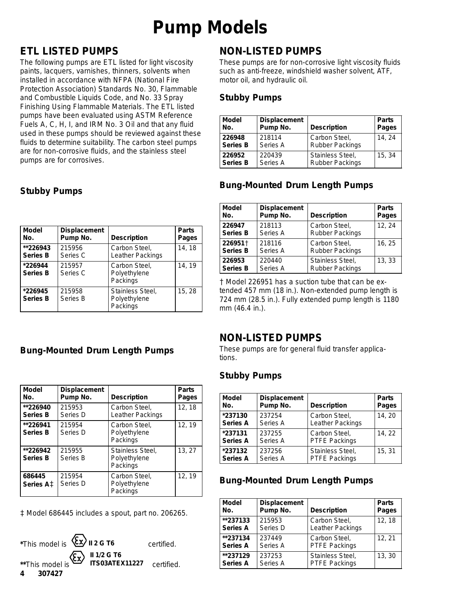# **Pump Models**

### **ETL LISTED PUMPS**

The following pumps are ETL listed for light viscosity paints, lacquers, varnishes, thinners, solvents when installed in accordance with NFPA (National Fire Protection Association) Standards No. 30, Flammable and Combustible Liquids Code, and No. 33 Spray Finishing Using Flammable Materials. The ETL listed pumps have been evaluated using ASTM Reference Fuels A, C, H, I, and IRM No. 3 Oil and that any fluid used in these pumps should be reviewed against these fluids to determine suitability. The carbon steel pumps are for non-corrosive fluids, and the stainless steel pumps are for corrosives.

| <b>Model</b>               | <b>Displacement</b> | <b>Description</b>                           | <b>Parts</b> |
|----------------------------|---------------------|----------------------------------------------|--------------|
| No.                        | Pump No.            |                                              | Pages        |
| **226943                   | 215956              | Carbon Steel,                                | 14, 18       |
| <b>Series B</b>            | Series C            | Leather Packings                             |              |
| *226944<br><b>Series B</b> | 215957<br>Series C  | Carbon Steel,<br>Polyethylene<br>Packings    | 14.19        |
| *226945<br><b>Series B</b> | 215958<br>Series B  | Stainless Steel,<br>Polyethylene<br>Packings | 15, 28       |

### **Stubby Pumps**

### **Bung-Mounted Drum Length Pumps**

| <b>Model</b><br>No.                                 | <b>Displacement</b><br>Pump No. | <b>Description</b>                           | <b>Parts</b><br><b>Pages</b> |
|-----------------------------------------------------|---------------------------------|----------------------------------------------|------------------------------|
| **226940<br><b>Series B</b>                         | 215953<br>Series D              | Carbon Steel,<br>Leather Packings            | 12, 18                       |
| **226941<br><b>Series B</b>                         | 215954<br>Series D              | Carbon Steel,<br>Polyethylene<br>Packings    | 12, 19                       |
| **226942<br><b>Series B</b>                         | 215955<br>Series B              | Stainless Steel,<br>Polyethylene<br>Packings | 13, 27                       |
| 686445<br>Series A <sup><math>\ddagger</math></sup> | 215954<br>Series D              | Carbon Steel,<br>Polyethylene<br>Packings    | 12, 19                       |

 *Model 686445 includes a spout, part no. 206265.*



### **NON-LISTED PUMPS**

These pumps are for non-corrosive light viscosity fluids such as anti-freeze, windshield washer solvent, ATF, motor oil, and hydraulic oil.

#### **Stubby Pumps**

| <b>Model</b>    | <b>Displacement</b> | <b>Description</b>     | <b>Parts</b> |
|-----------------|---------------------|------------------------|--------------|
| No.             | Pump No.            |                        | <b>Pages</b> |
| 226948          | 218114              | Carbon Steel,          | 14.24        |
| <b>Series B</b> | Series A            | <b>Rubber Packings</b> |              |
| 226952          | 220439              | Stainless Steel,       | 15, 34       |
| <b>Series B</b> | Series A            | <b>Rubber Packings</b> |              |

### **Bung-Mounted Drum Length Pumps**

| <b>Model</b>    | <b>Displacement</b> | <b>Description</b>     | <b>Parts</b> |
|-----------------|---------------------|------------------------|--------------|
| No.             | Pump No.            |                        | Pages        |
| 226947          | 218113              | Carbon Steel,          | 12, 24       |
| <b>Series B</b> | Series A            | <b>Rubber Packings</b> |              |
| 226951+         | 218116              | Carbon Steel,          | 16, 25       |
| <b>Series B</b> | Series A            | <b>Rubber Packings</b> |              |
| 226953          | 220440              | Stainless Steel,       | 13, 33       |
| <b>Series B</b> | Series A            | <b>Rubber Packings</b> |              |

 *Model 226951 has a suction tube that can be extended 457 mm (18 in.). Non-extended pump length is 724 mm (28.5 in.). Fully extended pump length is 1180 mm (46.4 in.).*

### **NON-LISTED PUMPS**

These pumps are for general fluid transfer applications.

### **Stubby Pumps**

| <b>Model</b>    | <b>Displacement</b> | <b>Description</b> | <b>Parts</b> |
|-----------------|---------------------|--------------------|--------------|
| No.             | Pump No.            |                    | Pages        |
| *237130         | 237254              | Carbon Steel,      | 14, 20       |
| <b>Series A</b> | Series A            | Leather Packings   |              |
| *237131         | 237255              | Carbon Steel,      | 14, 22       |
| <b>Series A</b> | Series A            | PTFE Packings      |              |
| *237132         | 237256              | Stainless Steel,   | 15, 31       |
| <b>Series A</b> | Series A            | PTFE Packings      |              |

### **Bung-Mounted Drum Length Pumps**

| <b>Model</b>    | <b>Displacement</b> | <b>Description</b>   | <b>Parts</b> |
|-----------------|---------------------|----------------------|--------------|
| No.             | Pump No.            |                      | Pages        |
| **237133        | 215953              | Carbon Steel,        | 12, 18       |
| <b>Series A</b> | Series D            | Leather Packings     |              |
| **237134        | 237449              | Carbon Steel,        | 12, 21       |
| <b>Series A</b> | Series A            | <b>PTFE Packings</b> |              |
| **237129        | 237253              | Stainless Steel,     | 13, 30       |
| <b>Series A</b> | Series A            | PTFE Packings        |              |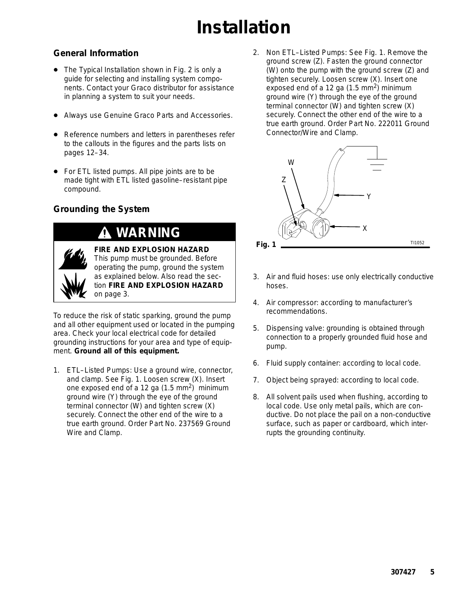# **Installation**

### **General Information**

- The Typical Installation shown in Fig. 2 is only a guide for selecting and installing system components. Contact your Graco distributor for assistance in planning a system to suit your needs.
- $\bullet$ Always use Genuine Graco Parts and Accessories.
- $\bullet$  Reference numbers and letters in parentheses refer to the callouts in the figures and the parts lists on pages 12–34.
- $\bullet$  For ETL listed pumps. All pipe joints are to be made tight with ETL listed gasoline–resistant pipe compound.

### **Grounding the System**

### **WARNING**



**FIRE AND EXPLOSION HAZARD** This pump must be grounded. Before operating the pump, ground the system as explained below. Also read the section **FIRE AND EXPLOSION HAZARD** on page 3.

To reduce the risk of static sparking, ground the pump and all other equipment used or located in the pumping area. Check your local electrical code for detailed grounding instructions for your area and type of equipment. *Ground all of this equipment.*

1. *ETL–Listed Pumps:* Use a ground wire, connector, and clamp. See Fig. 1. Loosen screw (X). Insert one exposed end of a 12 ga  $(1.5 \text{ mm}^2)$  minimum ground wire (Y) through the eye of the ground terminal connector (W) and tighten screw (X) securely. Connect the other end of the wire to a true earth ground. Order Part No. 237569 Ground Wire and Clamp.

2. *Non ETL–Listed Pumps:* See Fig. 1. Remove the ground screw (Z). Fasten the ground connector (W) onto the pump with the ground screw (Z) and tighten securely. Loosen screw (X). Insert one exposed end of a 12 ga  $(1.5 \text{ mm}^2)$  minimum ground wire (Y) through the eye of the ground terminal connector (W) and tighten screw (X) securely. Connect the other end of the wire to a true earth ground. Order Part No. 222011 Ground Connector/Wire and Clamp.



- 3. *Air and fluid hoses*: use only electrically conductive hoses.
- 4. *Air compressor*: according to manufacturer's recommendations.
- 5. *Dispensing valve:* grounding is obtained through connection to a properly grounded fluid hose and pump.
- 6. *Fluid supply container:* according to local code.
- 7. *Object being sprayed:* according to local code.
- 8. *All solvent pails used when flushing*, according to local code. Use only metal pails, which are conductive. Do not place the pail on a non-conductive surface, such as paper or cardboard, which interrupts the grounding continuity.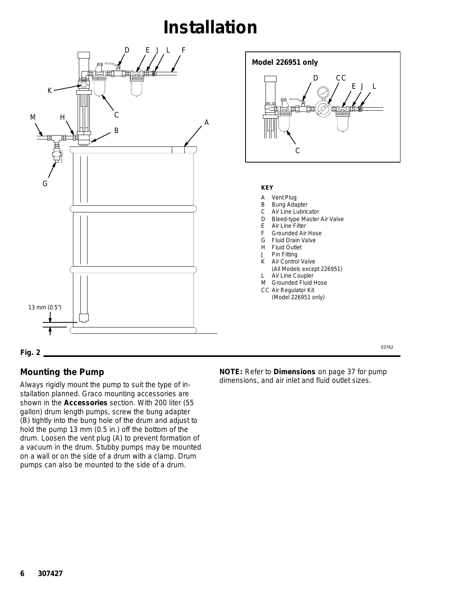### **Installation**



### **Mounting the Pump**

Always rigidly mount the pump to suit the type of installation planned. Graco mounting accessories are shown in the **Accessories** section. With 200 liter (55 gallon) drum length pumps, screw the bung adapter (B) tightly into the bung hole of the drum and adjust to hold the pump 13 mm (0.5 in.) off the bottom of the drum. Loosen the vent plug (A) to prevent formation of a vacuum in the drum. Stubby pumps may be mounted on a wall or on the side of a drum with a clamp. Drum pumps can also be mounted to the side of a drum.

**NOTE:** Refer to **Dimensions** on page 37 for pump dimensions, and air inlet and fluid outlet sizes.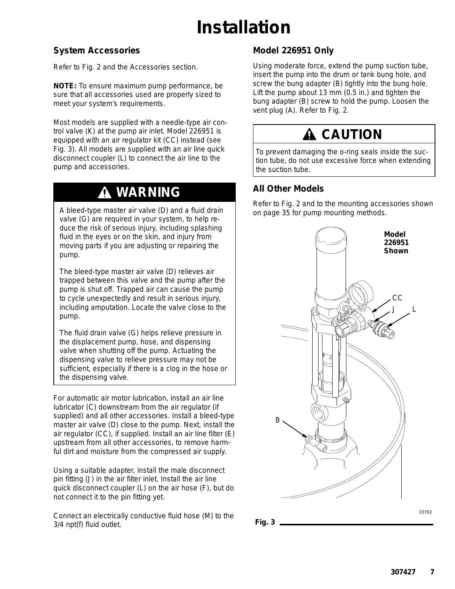# **Installation**

### **System Accessories**

Refer to Fig. 2 and the Accessories section.

**NOTE:** To ensure maximum pump performance, be sure that all accessories used are properly sized to meet your system's requirements.

Most models are supplied with a needle-type air control valve (K) at the pump air inlet. Model 226951 is equipped with an air regulator kit (CC) instead (see Fig. 3). All models are supplied with an air line quick disconnect coupler (L) to connect the air line to the pump and accessories.

### **WARNING**

A bleed-type master air valve (D) and a fluid drain valve (G) are required in your system, to help reduce the risk of serious injury, including splashing fluid in the eyes or on the skin, and injury from moving parts if you are adjusting or repairing the pump.

The *bleed-type master air valve* (D) relieves air trapped between this valve and the pump after the pump is shut off. Trapped air can cause the pump to cycle unexpectedly and result in serious injury, including amputation. Locate the valve close to the pump.

The *fluid drain valve* (G) helps relieve pressure in the displacement pump, hose, and dispensing valve when shutting off the pump. Actuating the dispensing valve to relieve pressure may not be sufficient, especially if there is a clog in the hose or the dispensing valve.

For automatic air motor lubrication, install an air line lubricator (C) downstream from the air regulator (if supplied) and all other accessories. Install a bleed-type master air valve (D) close to the pump. Next, install the air regulator (CC), if supplied. Install an air line filter (E) upstream from all other accessories, to remove harmful dirt and moisture from the compressed air supply.

Using a suitable adapter, install the male disconnect pin fitting (J) in the air filter inlet. Install the air line quick disconnect coupler (L) on the air hose (F), but do not connect it to the pin fitting yet.

Connect an electrically conductive fluid hose (M) to the 3/4 npt(f) fluid outlet.

### **Model 226951 Only**

Using moderate force, extend the pump suction tube, insert the pump into the drum or tank bung hole, and screw the bung adapter (B) tightly into the bung hole. Lift the pump about 13 mm (0.5 in.) and tighten the bung adapter (B) screw to hold the pump. Loosen the vent plug (A). Refer to Fig. 2.

### **A CAUTION**

To prevent damaging the o-ring seals inside the suction tube, do not use excessive force when extending the suction tube.

### **All Other Models**

Refer to Fig. 2 and to the mounting accessories shown on page 35 for pump mounting methods.



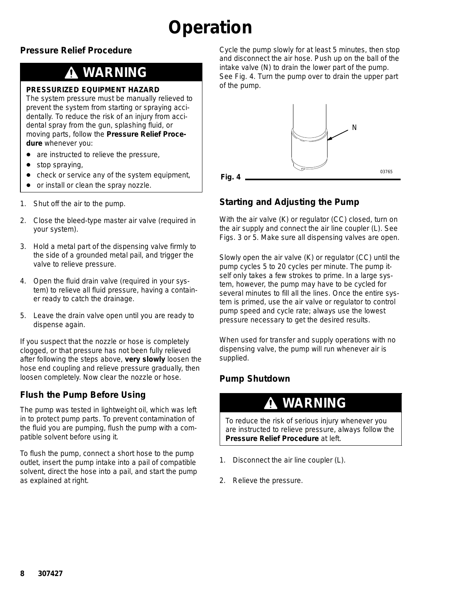# **Operation**

### **Pressure Relief Procedure**

### **WARNING**

#### **PRESSURIZED EQUIPMENT HAZARD**

The system pressure must be manually relieved to prevent the system from starting or spraying accidentally. To reduce the risk of an injury from accidental spray from the gun, splashing fluid, or moving parts, follow the **Pressure Relief Procedure** whenever you:

- are instructed to relieve the pressure,
- $\bullet$ stop spraying,
- $\bullet$ check or service any of the system equipment,
- $\bullet$ or install or clean the spray nozzle.
- 1. Shut off the air to the pump.
- 2. Close the bleed-type master air valve (required in your system).
- 3. Hold a metal part of the dispensing valve firmly to the side of a grounded metal pail, and trigger the valve to relieve pressure.
- 4. Open the fluid drain valve (required in your system) to relieve all fluid pressure, having a container ready to catch the drainage.
- 5. Leave the drain valve open until you are ready to dispense again.

*If you suspect that the nozzle or hose is completely clogged, or that pressure has not been fully relieved after following the steps above,* **very slowly** loosen the hose end coupling and relieve pressure gradually, then loosen completely. Now clear the nozzle or hose.

### **Flush the Pump Before Using**

The pump was tested in lightweight oil, which was left in to protect pump parts. To prevent contamination of the fluid you are pumping, flush the pump with a compatible solvent before using it.

To flush the pump, connect a short hose to the pump outlet, insert the pump intake into a pail of compatible solvent, direct the hose into a pail, and start the pump as explained at right.

Cycle the pump slowly for at least 5 minutes, then stop and disconnect the air hose. Push up on the ball of the intake valve (N) to drain the lower part of the pump. See Fig. 4. Turn the pump over to drain the upper part of the pump.



**Starting and Adjusting the Pump**

With the air valve (K) or regulator (CC) closed, turn on the air supply and connect the air line coupler (L). See Figs. 3 or 5. Make sure all dispensing valves are open.

Slowly open the air valve (K) or regulator (CC) until the pump cycles 5 to 20 cycles per minute. The pump itself only takes a few strokes to prime. In a large system, however, the pump may have to be cycled for several minutes to fill all the lines. Once the entire system is primed, use the air valve or regulator to control pump speed and cycle rate; always use the lowest pressure necessary to get the desired results.

When used for transfer and supply operations with no dispensing valve, the pump will run whenever air is supplied.

### **Pump Shutdown**

### **WARNING**

To reduce the risk of serious injury whenever you are instructed to relieve pressure, always follow the **Pressure Relief Procedure** at left.

- 1. Disconnect the air line coupler (L).
- 2. Relieve the pressure.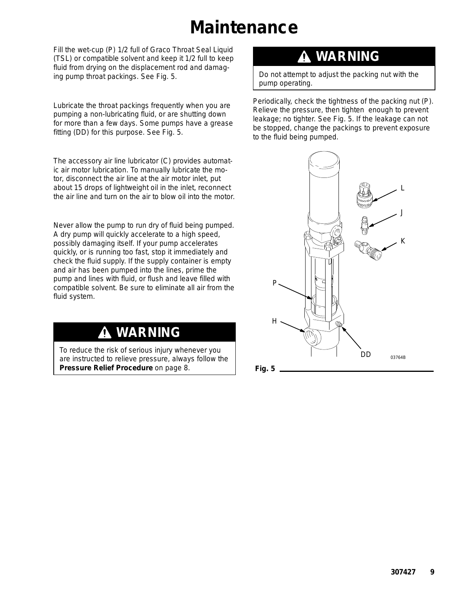### **Maintenance**

Fill the wet-cup (P) 1/2 full of Graco Throat Seal Liquid (TSL) or compatible solvent and keep it 1/2 full to keep fluid from drying on the displacement rod and damaging pump throat packings. See Fig. 5.

Lubricate the throat packings frequently when you are pumping a non-lubricating fluid, or are shutting down for more than a few days. Some pumps have a grease fitting (DD) for this purpose. See Fig. 5.

The accessory air line lubricator (C) provides automatic air motor lubrication. To manually lubricate the motor, disconnect the air line at the air motor inlet, put about 15 drops of lightweight oil in the inlet, reconnect the air line and turn on the air to blow oil into the motor.

Never allow the pump to run dry of fluid being pumped. A dry pump will quickly accelerate to a high speed, possibly damaging itself. If your pump accelerates quickly, or is running too fast, stop it immediately and check the fluid supply. If the supply container is empty and air has been pumped into the lines, prime the pump and lines with fluid, or flush and leave filled with compatible solvent. Be sure to eliminate all air from the fluid system.

### **WARNING**

To reduce the risk of serious injury whenever you are instructed to relieve pressure, always follow the **Pressure Relief Procedure** on page 8.

### **WARNING**

Do not attempt to adjust the packing nut with the pump operating.

Periodically, check the tightness of the packing nut (P). Relieve the pressure, then tighten enough to prevent leakage; no tighter. See Fig. 5. If the leakage can not be stopped, change the packings to prevent exposure to the fluid being pumped.

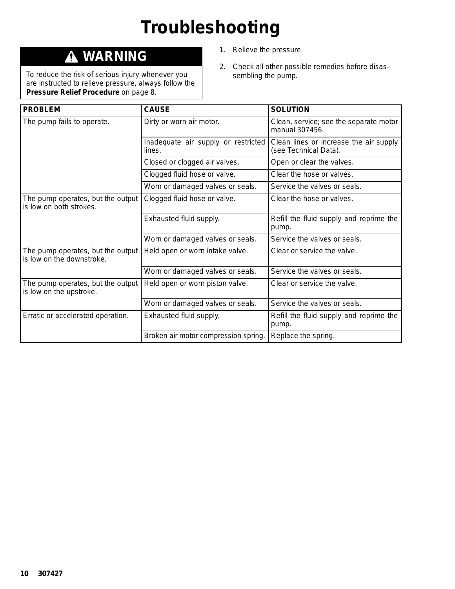# **Troubleshooting**

### **WARNING**

To reduce the risk of serious injury whenever you are instructed to relieve pressure, always follow the **Pressure Relief Procedure** on page 8.

- 1. Relieve the pressure.
- 2. Check all other possible remedies before disassembling the pump.

| <b>PROBLEM</b>                                                 | <b>CAUSE</b>                                  | <b>SOLUTION</b>                                                 |
|----------------------------------------------------------------|-----------------------------------------------|-----------------------------------------------------------------|
| The pump fails to operate.                                     | Dirty or worn air motor.                      | Clean, service; see the separate motor<br>manual 307456.        |
|                                                                | Inadequate air supply or restricted<br>lines. | Clean lines or increase the air supply<br>(see Technical Data). |
|                                                                | Closed or clogged air valves.                 | Open or clear the valves.                                       |
|                                                                | Clogged fluid hose or valve.                  | Clear the hose or valves.                                       |
|                                                                | Worn or damaged valves or seals.              | Service the valves or seals.                                    |
| The pump operates, but the output<br>is low on both strokes.   | Clogged fluid hose or valve.                  | Clear the hose or valves.                                       |
|                                                                | Exhausted fluid supply.                       | Refill the fluid supply and reprime the<br>pump.                |
|                                                                | Worn or damaged valves or seals.              | Service the valves or seals.                                    |
| The pump operates, but the output<br>is low on the downstroke. | Held open or worn intake valve.               | Clear or service the valve.                                     |
|                                                                | Worn or damaged valves or seals.              | Service the valves or seals.                                    |
| The pump operates, but the output<br>is low on the upstroke.   | Held open or worn piston valve.               | Clear or service the valve.                                     |
|                                                                | Worn or damaged valves or seals.              | Service the valves or seals.                                    |
| Erratic or accelerated operation.                              | Exhausted fluid supply.                       | Refill the fluid supply and reprime the<br>pump.                |
|                                                                | Broken air motor compression spring.          | Replace the spring.                                             |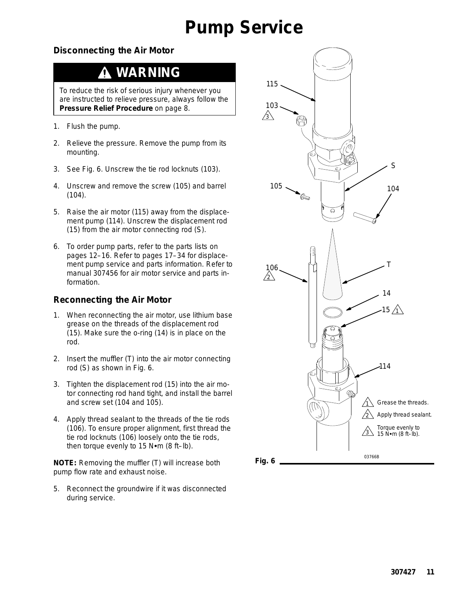### **Pump Service**

### **Disconnecting the Air Motor**

### **WARNING**

To reduce the risk of serious injury whenever you are instructed to relieve pressure, always follow the **Pressure Relief Procedure** on page 8.

- 1. Flush the pump.
- 2. Relieve the pressure. Remove the pump from its mounting.
- 3. See Fig. 6. Unscrew the tie rod locknuts (103).
- 4. Unscrew and remove the screw (105) and barrel (104).
- 5. Raise the air motor (115) away from the displacement pump (114). Unscrew the displacement rod (15) from the air motor connecting rod (S).
- 6. To order pump parts, refer to the parts lists on pages 12–16. Refer to pages 17–34 for displacement pump service and parts information. Refer to manual 307456 for air motor service and parts information.

### **Reconnecting the Air Motor**

- 1. When reconnecting the air motor, use lithium base grease on the threads of the displacement rod (15). Make sure the o-ring (14) is in place on the rod.
- 2. Insert the muffler (T) into the air motor connecting rod (S) as shown in Fig. 6.
- 3. Tighten the displacement rod (15) into the air motor connecting rod hand tight, and install the barrel and screw set (104 and 105).
- 4. Apply thread sealant to the threads of the tie rods (106). To ensure proper alignment, first thread the tie rod locknuts (106) loosely onto the tie rods, then torque evenly to 15  $N$  $\cdot$ m (8 ft-lb).

**NOTE:** Removing the muffler (T) will increase both pump flow rate and exhaust noise.

5. Reconnect the groundwire if it was disconnected during service.

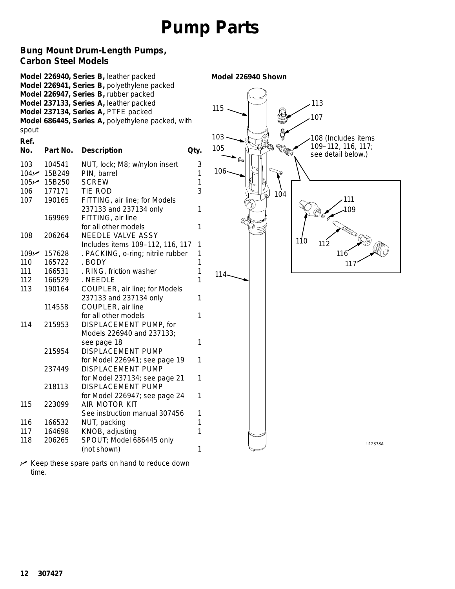### **Bung Mount Drum-Length Pumps, Carbon Steel Models**

| spout<br>Ref.                         |                                                          | Model 226940, Series B, leather packed<br>Model 226941, Series B, polyethylene packed<br>Model 226947, Series B, rubber packed<br>Model 237133, Series A, leather packed<br>Model 237134, Series A, PTFE packed<br>Model 686445, Series A, polyethylene packed, with | Model 226940 Shown<br>113<br>115<br>107<br>103<br>108 (Includes items |
|---------------------------------------|----------------------------------------------------------|----------------------------------------------------------------------------------------------------------------------------------------------------------------------------------------------------------------------------------------------------------------------|-----------------------------------------------------------------------|
| No.                                   | Part No.                                                 | <b>Description</b><br>Qty.                                                                                                                                                                                                                                           | 109-112, 116, 117;<br>105<br>see detail below.)                       |
| 103<br>104<br>105 $\nu$<br>106<br>107 | 104541<br>15B249<br>15B250<br>177171<br>190165<br>169969 | 3<br>NUT, lock; M8; w/nylon insert<br>PIN, barrel<br>1<br><b>SCREW</b><br>1<br>3<br>TIE ROD<br>FITTING, air line; for Models<br>237133 and 237134 only<br>1<br>FITTING, air line                                                                                     | $106 -$<br>104<br>111<br>109                                          |
| 108                                   | 206264                                                   | for all other models<br>1<br>NEEDLE VALVE ASSY<br>Includes items 109-112, 116, 117<br>1                                                                                                                                                                              | 110<br>112                                                            |
| 109 $\nu$                             | 157628                                                   | . PACKING, o-ring; nitrile rubber<br>1                                                                                                                                                                                                                               | 116                                                                   |
| 110                                   | 165722                                                   | . BODY<br>1                                                                                                                                                                                                                                                          | 11                                                                    |
| 111                                   | 166531                                                   | 1<br>. RING, friction washer                                                                                                                                                                                                                                         | 114                                                                   |
| 112                                   | 166529                                                   | . NEEDLE                                                                                                                                                                                                                                                             |                                                                       |
| 113                                   | 190164                                                   | COUPLER, air line; for Models<br>237133 and 237134 only<br>1                                                                                                                                                                                                         |                                                                       |
|                                       | 114558                                                   | COUPLER, air line                                                                                                                                                                                                                                                    |                                                                       |
| 114                                   | 215953                                                   | 1<br>for all other models<br>DISPLACEMENT PUMP, for<br>Models 226940 and 237133;                                                                                                                                                                                     |                                                                       |
|                                       |                                                          | see page 18<br>1                                                                                                                                                                                                                                                     |                                                                       |
|                                       | 215954                                                   | DISPLACEMENT PUMP                                                                                                                                                                                                                                                    |                                                                       |
|                                       |                                                          | for Model 226941; see page 19<br>1                                                                                                                                                                                                                                   |                                                                       |
|                                       | 237449                                                   | <b>DISPLACEMENT PUMP</b>                                                                                                                                                                                                                                             |                                                                       |
|                                       | 218113                                                   | for Model 237134; see page 21<br>1<br><b>DISPLACEMENT PUMP</b>                                                                                                                                                                                                       |                                                                       |
|                                       |                                                          | for Model 226947; see page 24<br>1                                                                                                                                                                                                                                   |                                                                       |
| тто                                   | 223099                                                   | AIR MOTOR KIT                                                                                                                                                                                                                                                        |                                                                       |
|                                       |                                                          | See instruction manual 307456<br>1                                                                                                                                                                                                                                   |                                                                       |
| 116                                   | 166532                                                   | NUT, packing<br>1                                                                                                                                                                                                                                                    |                                                                       |
| 117                                   | 164698                                                   | KNOB, adjusting<br>1                                                                                                                                                                                                                                                 |                                                                       |
| 118                                   | 206265                                                   | SPOUT; Model 686445 only<br>(not shown)<br>1                                                                                                                                                                                                                         | ti12378A                                                              |
|                                       |                                                          |                                                                                                                                                                                                                                                                      |                                                                       |

 *Keep these spare parts on hand to reduce down time.*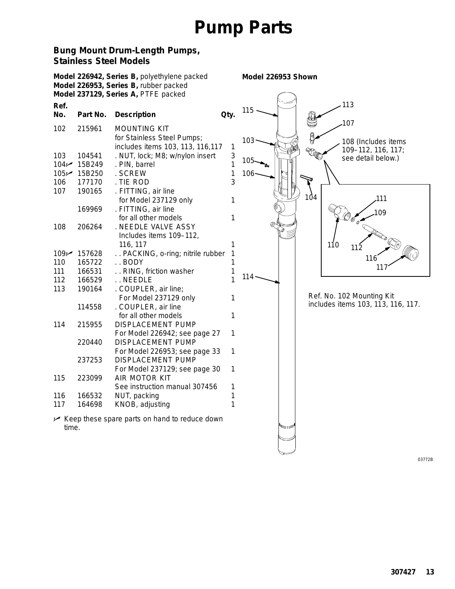#### **Bung Mount Drum-Length Pumps, Stainless Steel Models**

*Model 226953 Shown* **Model 226942, Series B,** polyethylene packed **Model 226953, Series B,** rubber packed **Model 237129, Series A,** PTFE packed **Ref.** 113 115 **No. Part No. Description Qty.** 107 102 215961 MOUNTING KIT T TO for Stainless Steel Pumps; 103 108 (Includes items includes items 103, 113, 116,117 1 109–112, 116, 117; 103 104541 . NUT, lock; M8; w/nylon insert 3 see detail below.) 105 104 $\sim$  15B249 . PIN, barrel 1 105 $\sim$  15B250 . SCREW 1 106 106 177170 . TIE ROD 3 107 190165 . FITTING, air line 104 111 for Model 237129 only 1 169969 . FITTING, air line 109 for all other models 1 108 206264 . NEEDLE VALVE ASSY Includes items 109–112, 116, 117 1 110 112 109 157628 .. PACKING, o-ring; nitrile rubber 1 116 110 165722 . . BODY 1 117 111 166531 .. RING. friction washer 1 114 112 166529 . . NEEDLE 1 113 190164 . COUPLER, air line; Ref. No. 102 Mounting Kit For Model 237129 only 1 includes items 103, 113, 116, 117. 114558 . COUPLER, air line for all other models 1 114 215955 DISPLACEMENT PUMP For Model 226942; see page 27 1 220440 DISPLACEMENT PUMP For Model 226953; see page 33 1 237253 DISPLACEMENT PUMP For Model 237129; see page 30 1 115 223099 AIR MOTOR KIT See instruction manual 307456 1 116 166532 NUT, packing 1 117 164698 KNOB, adjusting 1 *Keep these spare parts on hand to reduce down* اس روا *time.*

03772B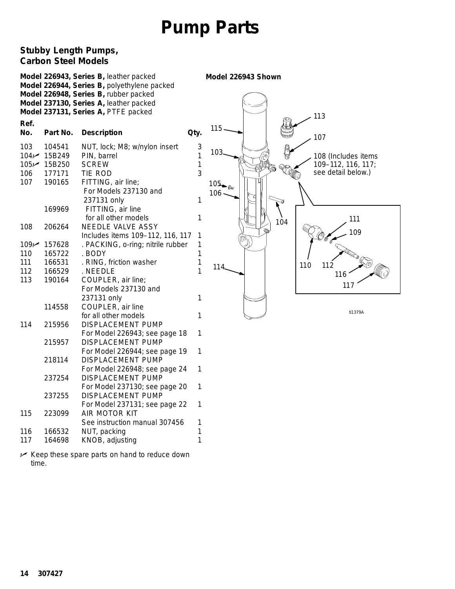### **Stubby Length Pumps, Carbon Steel Models**

|                                       |                                                                | Model 226943, Series B, leather packed<br>Model 226944, Series B, polyethylene packed<br>Model 226948, Series B, rubber packed<br>Model 237130, Series A, leather packed<br>Model 237131, Series A, PTFE packed |                            | Model 226943 Shown                  | 113                                                             |
|---------------------------------------|----------------------------------------------------------------|-----------------------------------------------------------------------------------------------------------------------------------------------------------------------------------------------------------------|----------------------------|-------------------------------------|-----------------------------------------------------------------|
| Ref.<br>No.                           | Part No.                                                       | <b>Description</b>                                                                                                                                                                                              | Qty.                       | 115                                 | 107                                                             |
| 103<br>104 <sub>1</sub><br>106<br>107 | 104541<br>15B249<br>105 <del></del> 15B250<br>177171<br>190165 | NUT, lock; M8; w/nylon insert<br>PIN, barrel<br><b>SCREW</b><br>TIE ROD<br>FITTING, air line;<br>For Models 237130 and                                                                                          | 3<br>$\mathbf 1$<br>1<br>3 | 103<br>Ó<br>$105_{\text{m}}$<br>106 | 108 (Includes items<br>109-112, 116, 117;<br>see detail below.) |
|                                       | 169969                                                         | 237131 only<br>FITTING, air line<br>for all other models                                                                                                                                                        | 1<br>1                     | 104                                 | 111                                                             |
| 108                                   | 206264                                                         | NEEDLE VALVE ASSY<br>Includes items 109-112, 116, 117                                                                                                                                                           | $\mathbf{1}$               |                                     | 109                                                             |
| 109                                   | 157628                                                         | . PACKING, o-ring; nitrile rubber                                                                                                                                                                               | 1                          |                                     |                                                                 |
| 110                                   | 165722                                                         | . BODY                                                                                                                                                                                                          | 1                          |                                     |                                                                 |
| 111                                   | 166531                                                         | . RING, friction washer                                                                                                                                                                                         | 1                          | 114                                 | 110<br>112                                                      |
| 112                                   | 166529                                                         | . NEEDLE                                                                                                                                                                                                        | $\overline{1}$             |                                     | 116                                                             |
| 113                                   | 190164                                                         | COUPLER, air line;<br>For Models 237130 and<br>237131 only                                                                                                                                                      | 1                          |                                     | 117                                                             |
|                                       | 114558                                                         | COUPLER, air line                                                                                                                                                                                               |                            |                                     |                                                                 |
|                                       |                                                                | for all other models                                                                                                                                                                                            | 1                          |                                     | ti1379A                                                         |
| 114                                   | 215956                                                         | DISPLACEMENT PUMP                                                                                                                                                                                               |                            |                                     |                                                                 |
|                                       |                                                                | For Model 226943; see page 18                                                                                                                                                                                   | 1                          |                                     |                                                                 |
|                                       | 215957                                                         | <b>DISPLACEMENT PUMP</b>                                                                                                                                                                                        |                            |                                     |                                                                 |
|                                       |                                                                | For Model 226944; see page 19                                                                                                                                                                                   | 1                          |                                     |                                                                 |
|                                       | 218114                                                         | <b>DISPLACEMENT PUMP</b>                                                                                                                                                                                        |                            |                                     |                                                                 |
|                                       |                                                                | For Model 226948; see page 24                                                                                                                                                                                   | 1                          |                                     |                                                                 |
|                                       | 237254                                                         | DISPLACEMENT PUMP                                                                                                                                                                                               |                            |                                     |                                                                 |
|                                       |                                                                | For Model 237130; see page 20                                                                                                                                                                                   | 1                          |                                     |                                                                 |
|                                       | 237255                                                         | DISPLACEMENT PUMP                                                                                                                                                                                               |                            |                                     |                                                                 |
|                                       |                                                                | For Model 237131; see page 22                                                                                                                                                                                   | 1                          |                                     |                                                                 |
| 115                                   | 223099                                                         | AIR MOTOR KIT                                                                                                                                                                                                   |                            |                                     |                                                                 |
|                                       |                                                                | See instruction manual 307456                                                                                                                                                                                   | 1                          |                                     |                                                                 |
| 116                                   | 166532                                                         | NUT, packing                                                                                                                                                                                                    | 1                          |                                     |                                                                 |
| 117                                   | 164698                                                         | KNOB, adjusting                                                                                                                                                                                                 | 1                          |                                     |                                                                 |

 *Keep these spare parts on hand to reduce down time.*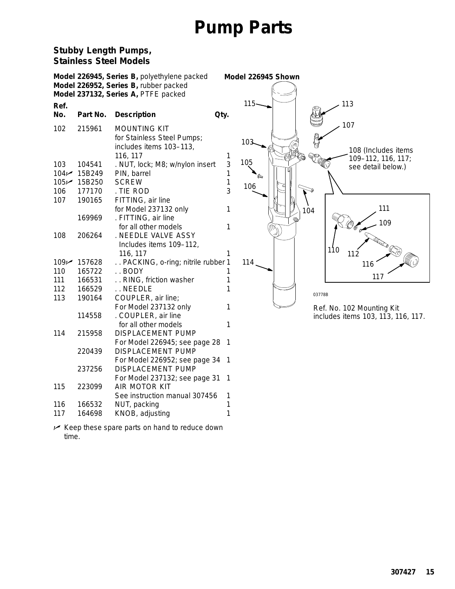#### **Stubby Length Pumps, Stainless Steel Models**

|              |          | Model 226945, Series B, polyethylene packed |     | Model 226945 Shown |                                    |
|--------------|----------|---------------------------------------------|-----|--------------------|------------------------------------|
|              |          | Model 226952, Series B, rubber packed       |     |                    |                                    |
|              |          | Model 237132, Series A, PTFE packed         |     |                    |                                    |
| Ref.         |          |                                             |     | $115 -$            | 113                                |
| No.          | Part No. | <b>Description</b><br>Qty.                  |     |                    |                                    |
| 102          | 215961   | <b>MOUNTING KIT</b>                         |     |                    | 107                                |
|              |          | for Stainless Steel Pumps;                  |     | 103                |                                    |
|              |          | includes items 103-113,                     |     |                    | 108 (Includes items                |
|              |          | 116, 117                                    | 1   |                    | 109-112, 116, 117;                 |
| 103          | 104541   | . NUT, lock; M8; w/nylon insert             | 3   | 105                | see detail below.)                 |
| 104          | 15B249   | PIN, barrel                                 | 1   |                    |                                    |
| $105 \times$ | 15B250   | <b>SCREW</b>                                | 1   | 106                |                                    |
| 106          | 177170   | . TIE ROD                                   | 3   |                    |                                    |
| 107          | 190165   | FITTING, air line                           |     |                    |                                    |
|              |          | for Model 237132 only                       | 1   |                    | 111<br>104                         |
|              | 169969   | . FITTING, air line                         |     |                    | œ.<br>109                          |
|              |          | for all other models                        | 1   |                    |                                    |
| 108          | 206264   | . NEEDLE VALVE ASSY                         |     |                    |                                    |
|              |          | Includes items 109-112,                     |     |                    | 110                                |
|              |          | 116, 117                                    |     |                    | 112                                |
| 109 $\nu$    | 157628   | PACKING, o-ring; nitrile rubber 1           |     | 114                | 116                                |
| 110          | 165722   | $.$ BODY                                    |     |                    | 117                                |
| 111          | 166531   | RING, friction washer                       |     |                    |                                    |
| 112          | 166529   | NEEDLE                                      |     |                    | 03778B                             |
| 113          | 190164   | COUPLER, air line;                          |     |                    |                                    |
|              |          | For Model 237132 only                       |     |                    | Ref. No. 102 Mounting Kit          |
|              | 114558   | . COUPLER, air line                         |     |                    | includes items 103, 113, 116, 117. |
|              |          | for all other models                        |     |                    |                                    |
| 114          | 215958   | <b>DISPLACEMENT PUMP</b>                    |     |                    |                                    |
|              |          | For Model 226945; see page 28 1             |     |                    |                                    |
|              | 220439   | <b>DISPLACEMENT PUMP</b>                    |     |                    |                                    |
|              |          | For Model 226952; see page 34 1             |     |                    |                                    |
|              | 237256   | <b>DISPLACEMENT PUMP</b>                    |     |                    |                                    |
|              |          | For Model 237132; see page 31               | - 1 |                    |                                    |
| 115          | 223099   | AIR MOTOR KIT                               |     |                    |                                    |
|              |          | See instruction manual 307456               | 1   |                    |                                    |
| 116          | 166532   | NUT, packing                                | 1   |                    |                                    |
| 117          | 164698   | KNOB, adjusting                             | 1   |                    |                                    |

 *Keep these spare parts on hand to reduce down time.*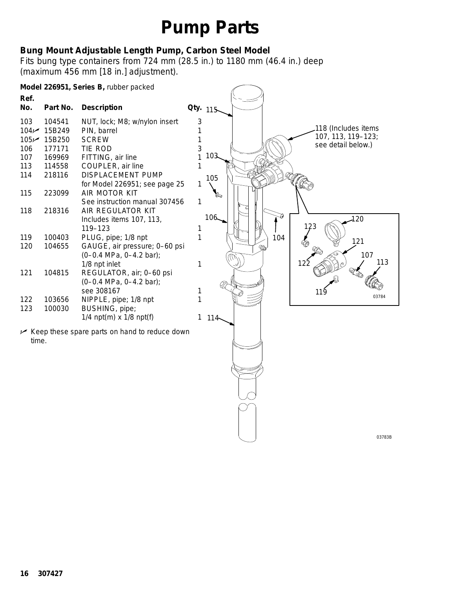### **Bung Mount Adjustable Length Pump, Carbon Steel Model**

Fits bung type containers from 724 mm (28.5 in.) to 1180 mm (46.4 in.) deep (maximum 456 mm [18 in.] adjustment).

|                  |          | Model 226951, Series B, rubber packed                    |   |          |   |     |                     |
|------------------|----------|----------------------------------------------------------|---|----------|---|-----|---------------------|
| Ref.             |          |                                                          |   |          |   |     |                     |
| No.              | Part No. | <b>Description</b>                                       |   | Qty. 115 |   |     |                     |
| 103              | 104541   | NUT, lock; M8; w/nylon insert                            | 3 |          |   |     |                     |
| 104 <sub>1</sub> | 15B249   | PIN, barrel                                              |   |          |   |     | 118 (Includes items |
| $105 \times$     | 15B250   | <b>SCREW</b>                                             |   |          |   |     | 107, 113, 119-123;  |
| 106              | 177171   | TIE ROD                                                  | 3 |          |   |     | see detail below.)  |
| 107              | 169969   | FITTING, air line                                        |   | 103      |   |     |                     |
| 113              | 114558   | COUPLER, air line                                        |   |          |   |     |                     |
| 114              | 218116   | <b>DISPLACEMENT PUMP</b>                                 |   | 105      |   |     |                     |
|                  |          | for Model 226951; see page 25                            |   |          |   |     |                     |
| 115              | 223099   | AIR MOTOR KIT                                            |   |          |   |     |                     |
|                  |          | See instruction manual 307456                            | 1 |          |   |     |                     |
| 118              | 218316   | AIR REGULATOR KIT                                        |   | 106      |   |     |                     |
|                  |          | Includes items 107, 113,                                 |   |          |   |     | 120                 |
|                  |          | 119-123                                                  |   |          |   |     | 23                  |
| 119              | 100403   | PLUG, pipe; 1/8 npt                                      |   |          |   | 104 | 121                 |
| 120              | 104655   | GAUGE, air pressure; 0-60 psi                            |   |          | ൹ |     |                     |
|                  |          | (0-0.4 MPa, 0-4.2 bar);                                  |   |          |   |     | 107<br>113          |
|                  |          | 1/8 npt inlet                                            | 1 |          |   |     | 122                 |
| 121              | 104815   | REGULATOR, air; 0-60 psi                                 |   |          |   |     |                     |
|                  |          | $(0-0.4 \text{ MPa}, 0-4.2 \text{ bar})$ ;<br>see 308167 |   |          |   |     |                     |
| 122              | 103656   | NIPPLE, pipe; 1/8 npt                                    |   |          |   |     | 119<br>03784        |
| 123              | 100030   | BUSHING, pipe;                                           |   |          |   |     |                     |
|                  |          | 1/4 $npt(m)$ x 1/8 $npt(f)$                              | 1 | 114      |   |     |                     |
|                  |          |                                                          |   |          |   |     |                     |
|                  |          | Keep these spare parts on hand to reduce down            |   |          |   |     |                     |
| time.            |          |                                                          |   |          |   |     |                     |
|                  |          |                                                          |   |          |   |     |                     |
|                  |          |                                                          |   |          |   |     |                     |

 $50$ 

03783B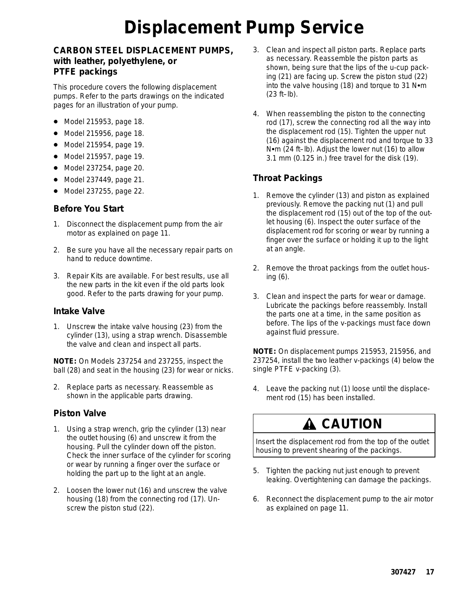# **Displacement Pump Service**

#### **CARBON STEEL DISPLACEMENT PUMPS, with leather, polyethylene, or PTFE packings**

This procedure covers the following displacement pumps. Refer to the parts drawings on the indicated pages for an illustration of your pump.

- Model 215953, page 18.
- Model 215956, page 18.
- Model 215954, page 19.
- Model 215957, page 19.
- Model 237254, page 20.
- Model 237449, page 21.
- Model 237255, page 22.

#### **Before You Start**

- 1. Disconnect the displacement pump from the air motor as explained on page 11.
- 2. Be sure you have all the necessary repair parts on hand to reduce downtime.
- 3. Repair Kits are available. For best results, use all the new parts in the kit even if the old parts look good. Refer to the parts drawing for your pump.

#### **Intake Valve**

1. Unscrew the intake valve housing (23) from the cylinder (13), using a strap wrench. Disassemble the valve and clean and inspect all parts.

**NOTE:** On Models 237254 and 237255, inspect the ball (28) and seat in the housing (23) for wear or nicks.

2. Replace parts as necessary. Reassemble as shown in the applicable parts drawing.

#### **Piston Valve**

- 1. Using a strap wrench, grip the cylinder (13) near the outlet housing (6) and unscrew it from the housing. Pull the cylinder down off the piston. Check the inner surface of the cylinder for scoring or wear by running a finger over the surface or holding the part up to the light at an angle.
- 2. Loosen the lower nut (16) and unscrew the valve housing (18) from the connecting rod (17). Unscrew the piston stud (22).
- 3. Clean and inspect all piston parts. Replace parts as necessary. Reassemble the piston parts as shown, *being sure that the lips of the u-cup packing (21) are facing up.* Screw the piston stud (22) into the valve housing (18) and torque to 31  $N$  $\cdot$ m (23 ft–lb).
- 4. When reassembling the piston to the connecting rod (17), screw the connecting rod all the way into the displacement rod (15). Tighten the upper nut (16) against the displacement rod and torque to 33 N•m (24 ft-lb). Adjust the lower nut (16) to allow 3.1 mm (0.125 in.) free travel for the disk (19).

#### **Throat Packings**

- 1. Remove the cylinder (13) and piston as explained previously. Remove the packing nut (1) and pull the displacement rod (15) out of the top of the outlet housing (6). Inspect the outer surface of the displacement rod for scoring or wear by running a finger over the surface or holding it up to the light at an angle.
- 2. Remove the throat packings from the outlet housing (6).
- 3. Clean and inspect the parts for wear or damage. Lubricate the packings before reassembly. Install the parts one at a time, in the same position as before. *The lips of the v-packings must face down against fluid pressure.*

**NOTE:** On displacement pumps 215953, 215956, and 237254, install the two leather v-packings (4) below the single PTFE v-packing (3).

4. Leave the packing nut (1) loose until the displacement rod (15) has been installed.

### **A** CAUTION

Insert the displacement rod from the top of the outlet housing to prevent shearing of the packings.

- 5. Tighten the packing nut just enough to prevent leaking. Overtightening can damage the packings.
- 6. Reconnect the displacement pump to the air motor as explained on page 11.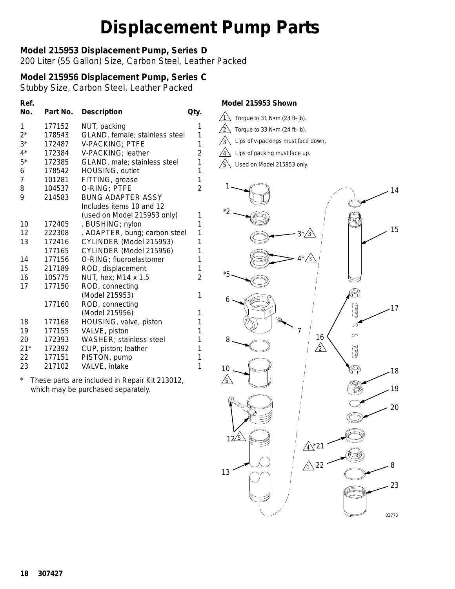### **Model 215953 Displacement Pump, Series D**

200 Liter (55 Gallon) Size, Carbon Steel, Leather Packed

### **Model 215956 Displacement Pump, Series C**

Stubby Size, Carbon Steel, Leather Packed

| Ref.<br>No.    | Part No. | <b>Description</b>              | Qty.           |
|----------------|----------|---------------------------------|----------------|
| 1              | 177152   | NUT, packing                    | 1              |
| $2^*$          | 178543   | GLAND, female; stainless steel  | 1              |
| $3^*$          | 172487   | <b>V-PACKING; PTFE</b>          | 1              |
| $4^*$          | 172384   | V-PACKING; leather              | $\overline{2}$ |
| $5^*$          | 172385   | GLAND, male; stainless steel    | 1              |
| 6              | 178542   | HOUSING, outlet                 | 1              |
| $\overline{7}$ | 101281   | FITTING, grease                 | $\overline{1}$ |
| 8              | 104537   | O-RING; PTFE                    | $\overline{2}$ |
| 9              | 214583   | <b>BUNG ADAPTER ASSY</b>        |                |
|                |          | Includes items 10 and 12        |                |
|                |          | (used on Model 215953 only)     | 1              |
| 10             | 172405   | . BUSHING; nylon                | 1              |
| 12             | 222308   | . ADAPTER, bung; carbon steel   | 1              |
| 13             | 172416   | CYLINDER (Model 215953)         | 1              |
|                | 177165   | CYLINDER (Model 215956)         | 1              |
| 14             | 177156   | O-RING; fluoroelastomer         | 1              |
| 15             | 217189   | ROD, displacement               | 1              |
| 16             | 105775   | NUT, hex; M14 x 1.5             | $\overline{c}$ |
| 17             | 177150   | ROD, connecting                 |                |
|                |          | (Model 215953)                  | 1              |
|                | 177160   | ROD, connecting                 |                |
|                |          | (Model 215956)                  | 1              |
| 18             | 177168   | HOUSING, valve, piston          | 1              |
| 19             | 177155   | VALVE, piston                   | 1              |
| 20             | 172393   | <b>WASHER</b> ; stainless steel | 1              |
| $21*$          | 172392   | CUP, piston; leather            | 1              |
| 22             | 177151   | PISTON, pump                    | 1              |
| 23             | 217102   | VALVE, intake                   | 1              |

*\* These parts are included in Repair Kit 213012, which may be purchased separately.*

#### *Model 215953 Shown*

- 1 Torque to 31 N•m (23 ft-lb).
- $/_{2} \backslash$ Torque to  $33$  N $\bullet$ m (24 ft-lb).
- $/3 \backslash$ Lips of v-packings must face down.
- $\sqrt{4}$ Lips of packing must face up.
- $\sqrt{5}$  Used on Model 215953 only.

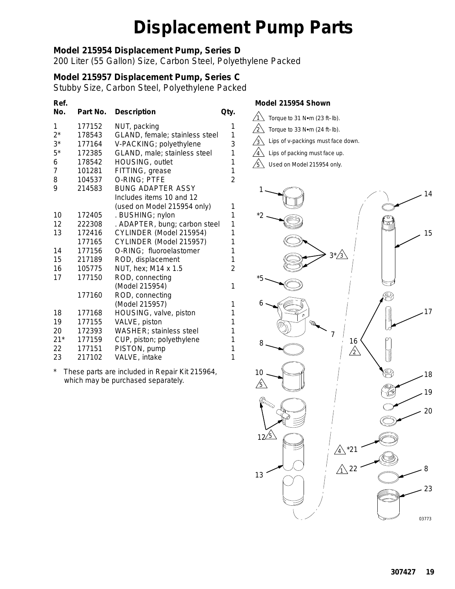### **Model 215954 Displacement Pump, Series D**

200 Liter (55 Gallon) Size, Carbon Steel, Polyethylene Packed

### **Model 215957 Displacement Pump, Series C**

Stubby Size, Carbon Steel, Polyethylene Packed

| Ref.<br>No.    | Part No. | <b>Description</b>              | Qty.           |
|----------------|----------|---------------------------------|----------------|
| 1              | 177152   | NUT, packing                    | 1              |
| $2^*$          | 178543   | GLAND, female; stainless steel  | 1              |
| $3^*$          | 177164   | V-PACKING; polyethylene         | 3              |
| $5*$           | 172385   | GLAND, male; stainless steel    | 1              |
| 6              | 178542   | HOUSING, outlet                 | 1              |
| $\overline{7}$ | 101281   | FITTING, grease                 | 1              |
| 8              | 104537   | O-RING; PTFE                    | $\overline{c}$ |
| 9              | 214583   | <b>BUNG ADAPTER ASSY</b>        |                |
|                |          | Includes items 10 and 12        |                |
|                |          | (used on Model 215954 only)     | 1              |
| 10             | 172405   | . BUSHING; nylon                | 1              |
| 12             | 222308   | . ADAPTER, bung; carbon steel   | 1              |
| 13             | 172416   | CYLINDER (Model 215954)         | 1              |
|                | 177165   | CYLINDER (Model 215957)         | 1              |
| 14             | 177156   | O-RING; fluoroelastomer         | 1              |
| 15             | 217189   | ROD, displacement               | 1              |
| 16             | 105775   | NUT, hex; M14 x 1.5             | $\overline{2}$ |
| 17             | 177150   | ROD, connecting                 |                |
|                |          | (Model 215954)                  | 1              |
|                | 177160   | ROD, connecting                 |                |
|                |          | (Model 215957)                  | 1              |
| 18             | 177168   | HOUSING, valve, piston          | 1              |
| 19             | 177155   | VALVE, piston                   | 1              |
| 20             | 172393   | <b>WASHER</b> ; stainless steel | 1              |
| $21*$          | 177159   | CUP, piston; polyethylene       | 1              |
| 22             | 177151   | PISTON, pump                    | 1              |
| 23             | 217102   | VALVE, intake                   | 1              |
|                |          |                                 |                |

*\* These parts are included in Repair Kit 215964, which may be purchased separately.*

#### *Model 215954 Shown*

- 1 Torque to 31 N•m (23 ft-lb). 3 2 Lips of v-packings must face down. Torque to 33  $N$ <sup>o</sup>m (24 ft-lb).
- $\sqrt{4}$ Lips of packing must face up.

 $\sqrt{5}$  Used on Model 215954 only.

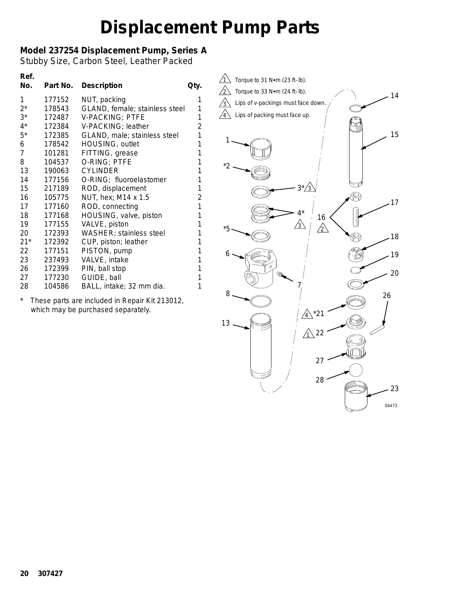### **Model 237254 Displacement Pump, Series A**

Stubby Size, Carbon Steel, Leather Packed

| Ref.<br>No.    | Part No. | <b>Description</b>             | Qty.           |
|----------------|----------|--------------------------------|----------------|
| 1              | 177152   | NUT, packing                   | 1              |
| $2^*$          | 178543   | GLAND, female; stainless steel | 1              |
| $3^*$          | 172487   | V-PACKING; PTFE                | 1              |
| $4^*$          | 172384   | V-PACKING; leather             | $\overline{2}$ |
| $5*$           | 172385   | GLAND, male; stainless steel   | 1              |
| 6              | 178542   | HOUSING, outlet                | 1              |
| $\overline{7}$ | 101281   | FITTING, grease                | 1              |
| 8              | 104537   | O-RING; PTFE                   | 1              |
| 13             | 190063   | <b>CYLINDER</b>                | 1              |
| 14             | 177156   | O-RING; fluoroelastomer        | 1              |
| 15             | 217189   | ROD, displacement              | 1              |
| 16             | 105775   | NUT, hex; M14 x 1.5            | $\overline{2}$ |
| 17             | 177160   | ROD, connecting                | 1              |
| 18             | 177168   | HOUSING, valve, piston         | 1              |
| 19             | 177155   | VALVE, piston                  | 1              |
| 20             | 172393   | WASHER; stainless steel        | 1              |
| $21*$          | 172392   | CUP, piston; leather           | 1              |
| 22             | 177151   | PISTON, pump                   | 1              |
| 23             | 237493   | VALVE, intake                  | 1              |
| 26             | 172399   | PIN, ball stop                 | 1              |
| 27             | 177230   | GUIDE, ball                    | 1              |
| 28             | 104586   | BALL, intake; 32 mm dia.       | 1              |

*\* These parts are included in Repair Kit 213012, which may be purchased separately.*

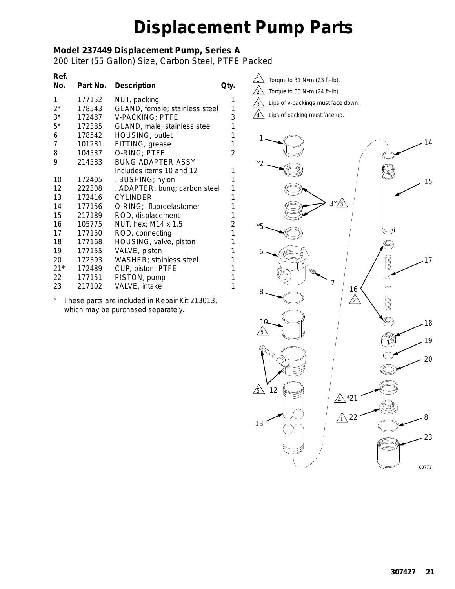### **Model 237449 Displacement Pump, Series A**

200 Liter (55 Gallon) Size, Carbon Steel, PTFE Packed

| Ref.<br>No.     | Part No. | <b>Description</b>             | Qty.           |
|-----------------|----------|--------------------------------|----------------|
| 1               | 177152   | NUT, packing                   | 1              |
| $2^*$           | 178543   | GLAND, female; stainless steel | 1              |
| $3^*$           | 172487   | <b>V-PACKING; PTFE</b>         | 3              |
| $5^*$           | 172385   | GLAND, male; stainless steel   | 1              |
| 6               | 178542   | HOUSING, outlet                | 1              |
| $\overline{7}$  | 101281   | FITTING, grease                | 1              |
| 8               | 104537   | O-RING; PTFE                   | $\overline{2}$ |
| 9               | 214583   | <b>BUNG ADAPTER ASSY</b>       |                |
|                 |          | Includes items 10 and 12       | 1              |
| 10              | 172405   | . BUSHING; nylon               | 1              |
| 12              | 222308   | . ADAPTER, bung; carbon steel  | 1              |
| 13              | 172416   | <b>CYLINDER</b>                | 1              |
| 14              | 177156   | O-RING; fluoroelastomer        | 1              |
| 15              | 217189   | ROD, displacement              | 1              |
| 16              | 105775   | NUT, hex; M14 x 1.5            | $\overline{c}$ |
| 17              | 177150   | ROD, connecting                | 1              |
| 18              | 177168   | HOUSING, valve, piston         | 1              |
| 19              | 177155   | VALVE, piston                  | 1              |
| 20              | 172393   | WASHER; stainless steel        | 1              |
| $21*$           | 172489   | CUP, piston; PTFE              | 1              |
| 22 <sub>2</sub> | 177151   | PISTON, pump                   | 1              |
| 23              | 217102   | VALVE, intake                  | 1              |

*\* These parts are included in Repair Kit 213013, which may be purchased separately.*



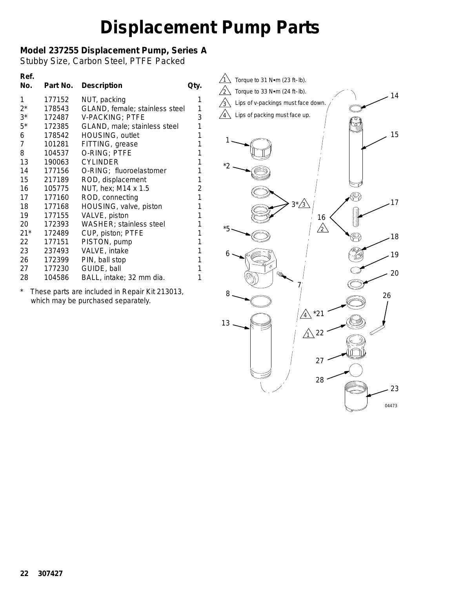### **Model 237255 Displacement Pump, Series A**

Stubby Size, Carbon Steel, PTFE Packed

| Ref.           |          |                                |                |
|----------------|----------|--------------------------------|----------------|
| No.            | Part No. | <b>Description</b>             | Qty.           |
| 1              | 177152   | NUT, packing                   | 1              |
| $2^*$          | 178543   | GLAND, female; stainless steel | 1              |
| $3^*$          | 172487   | <b>V-PACKING; PTFE</b>         | 3              |
| $5*$           | 172385   | GLAND, male; stainless steel   | 1              |
| 6              | 178542   | HOUSING, outlet                | 1              |
| $\overline{7}$ | 101281   | FITTING, grease                | 1              |
| 8              | 104537   | O-RING; PTFE                   | 1              |
| 13             | 190063   | <b>CYLINDER</b>                | 1              |
| 14             | 177156   | O-RING; fluoroelastomer        | 1              |
| 15             | 217189   | ROD, displacement              | 1              |
| 16             | 105775   | NUT, hex; M14 x 1.5            | $\overline{2}$ |
| 17             | 177160   | ROD, connecting                | 1              |
| 18             | 177168   | HOUSING, valve, piston         | 1              |
| 19             | 177155   | VALVE, piston                  | 1              |
| 20             | 172393   | <b>WASHER; stainless steel</b> | 1              |
| $21*$          | 172489   | CUP, piston; PTFE              | 1              |
| 22             | 177151   | PISTON, pump                   | 1              |
| 23             | 237493   | VALVE, intake                  | 1              |
| 26             | 172399   | PIN, ball stop                 | 1              |
| 27             | 177230   | GUIDE, ball                    | 1              |
| 28             | 104586   | BALL, intake; 32 mm dia.       | 1              |
|                |          |                                |                |

*\* These parts are included in Repair Kit 213013, which may be purchased separately.*

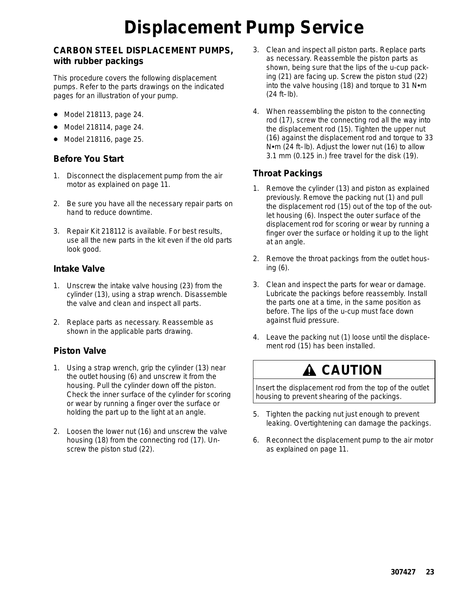# **Displacement Pump Service**

#### **CARBON STEEL DISPLACEMENT PUMPS, with rubber packings**

This procedure covers the following displacement pumps. Refer to the parts drawings on the indicated pages for an illustration of your pump.

- Model 218113, page 24.
- Model 218114, page 24.
- Model 218116, page 25.

#### **Before You Start**

- 1. Disconnect the displacement pump from the air motor as explained on page 11.
- 2. Be sure you have all the necessary repair parts on hand to reduce downtime.
- 3. Repair Kit 218112 is available. For best results, use all the new parts in the kit even if the old parts look good.

#### **Intake Valve**

- 1. Unscrew the intake valve housing (23) from the cylinder (13), using a strap wrench. Disassemble the valve and clean and inspect all parts.
- 2. Replace parts as necessary. Reassemble as shown in the applicable parts drawing.

### **Piston Valve**

- 1. Using a strap wrench, grip the cylinder (13) near the outlet housing (6) and unscrew it from the housing. Pull the cylinder down off the piston. Check the inner surface of the cylinder for scoring or wear by running a finger over the surface or holding the part up to the light at an angle.
- 2. Loosen the lower nut (16) and unscrew the valve housing (18) from the connecting rod (17). Unscrew the piston stud (22).
- 3. Clean and inspect all piston parts. Replace parts as necessary. Reassemble the piston parts as shown, *being sure that the lips of the u-cup packing (21) are facing up.* Screw the piston stud (22) into the valve housing (18) and torque to 31  $N$  $\cdot$ m (24 ft–lb).
- 4. When reassembling the piston to the connecting rod (17), screw the connecting rod all the way into the displacement rod (15). Tighten the upper nut (16) against the displacement rod and torque to 33  $N$ <sup>o</sup>m (24 ft–lb). Adjust the lower nut (16) to allow 3.1 mm (0.125 in.) free travel for the disk (19).

#### **Throat Packings**

- 1. Remove the cylinder (13) and piston as explained previously. Remove the packing nut (1) and pull the displacement rod (15) out of the top of the outlet housing (6). Inspect the outer surface of the displacement rod for scoring or wear by running a finger over the surface or holding it up to the light at an angle.
- 2. Remove the throat packings from the outlet housing (6).
- 3. Clean and inspect the parts for wear or damage. Lubricate the packings before reassembly. Install the parts one at a time, in the same position as before. *The lips of the u-cup must face down against fluid pressure.*
- 4. Leave the packing nut (1) loose until the displacement rod (15) has been installed.

### **A CAUTION**

Insert the displacement rod from the top of the outlet housing to prevent shearing of the packings.

- 5. Tighten the packing nut just enough to prevent leaking. Overtightening can damage the packings.
- 6. Reconnect the displacement pump to the air motor as explained on page 11.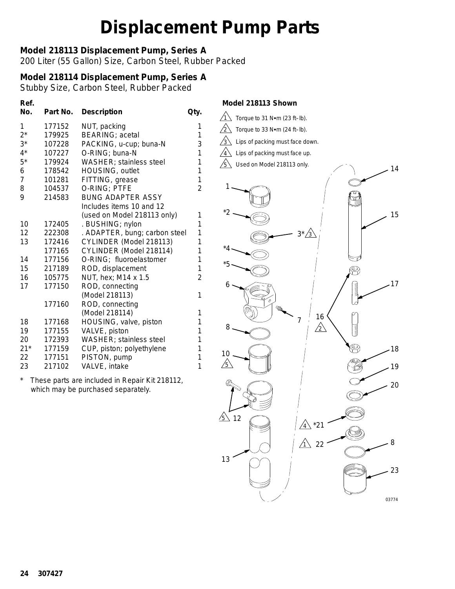### **Model 218113 Displacement Pump, Series A**

200 Liter (55 Gallon) Size, Carbon Steel, Rubber Packed

### **Model 218114 Displacement Pump, Series A**

Stubby Size, Carbon Steel, Rubber Packed

| Ref.<br>No.    | Part No. | <b>Description</b>              | Qty.           |
|----------------|----------|---------------------------------|----------------|
| 1              | 177152   | NUT, packing                    | 1              |
| $2^*$          | 179925   | <b>BEARING</b> ; acetal         | 1              |
| $3^*$          | 107228   | PACKING, u-cup; buna-N          | 3              |
| $4^*$          | 107227   | O-RING; buna-N                  | 1              |
| $5^*$          | 179924   | WASHER; stainless steel         | 1              |
| 6              | 178542   | HOUSING, outlet                 | 1              |
| $\overline{7}$ | 101281   | FITTING, grease                 | $\overline{1}$ |
| 8              | 104537   | O-RING; PTFE                    | $\overline{2}$ |
| 9              | 214583   | <b>BUNG ADAPTER ASSY</b>        |                |
|                |          | Includes items 10 and 12        |                |
|                |          | (used on Model 218113 only)     | 1              |
| 10             | 172405   | . BUSHING; nylon                | 1              |
| 12             | 222308   | . ADAPTER, bung; carbon steel   | 1              |
| 13             | 172416   | CYLINDER (Model 218113)         | 1              |
|                | 177165   | CYLINDER (Model 218114)         | 1              |
| 14             | 177156   | O-RING; fluoroelastomer         | 1              |
| 15             | 217189   | ROD, displacement               | 1              |
| 16             | 105775   | NUT, hex; M14 x 1.5             | $\overline{2}$ |
| 17             | 177150   | ROD, connecting                 |                |
|                |          | (Model 218113)                  | 1              |
|                | 177160   | ROD, connecting                 |                |
|                |          | (Model 218114)                  | 1              |
| 18             | 177168   | HOUSING, valve, piston          | 1              |
| 19             | 177155   | VALVE, piston                   | 1              |
| 20             | 172393   | <b>WASHER</b> ; stainless steel | 1              |
| $21*$          | 177159   | CUP, piston; polyethylene       | 1              |
| 22             | 177151   | PISTON, pump                    | 1              |
| 23             | 217102   | VALVE, intake                   | $\overline{1}$ |

*\* These parts are included in Repair Kit 218112, which may be purchased separately.*

#### *Model 218113 Shown*

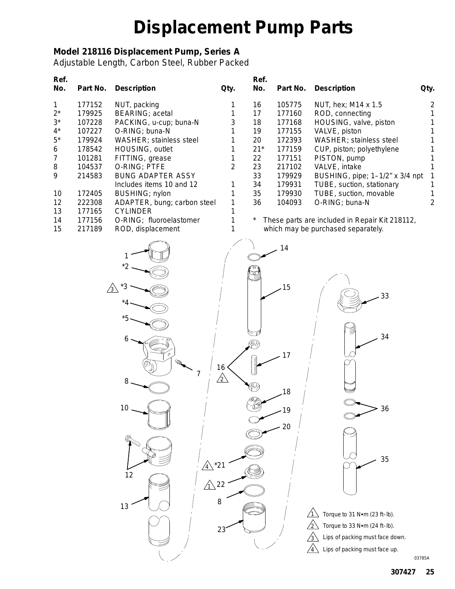### **Model 218116 Displacement Pump, Series A**

Adjustable Length, Carbon Steel, Rubber Packed

| Ref.             |                  |                                                |                 | Ref.        |                  |                                                |                |
|------------------|------------------|------------------------------------------------|-----------------|-------------|------------------|------------------------------------------------|----------------|
| No.              | Part No.         | <b>Description</b>                             | Qty.            | No.         | Part No.         | <b>Description</b>                             | Qty.           |
| 1                | 177152           | NUT, packing                                   | 1               | 16          | 105775           | NUT, hex; M14 x 1.5                            | $\overline{2}$ |
| $2^*$            | 179925           | BEARING; acetal                                | 1               | 17          | 177160           | ROD, connecting                                |                |
| $3^*$            | 107228           | PACKING, u-cup; buna-N                         | 3               | 18          | 177168           | HOUSING, valve, piston                         |                |
| $4^*$            | 107227           | O-RING; buna-N                                 | 1               | 19          | 177155           | VALVE, piston                                  |                |
| $5^\star$        | 179924           | WASHER; stainless steel                        | 1               | 20          | 172393           | WASHER; stainless steel                        |                |
| 6<br>7           | 178542<br>101281 | HOUSING, outlet<br>FITTING, grease             | 1<br>1          | $21*$<br>22 | 177159<br>177151 | CUP, piston; polyethylene<br>PISTON, pump      |                |
| 8                | 104537           | O-RING; PTFE                                   | $\overline{2}$  | 23          | 217102           | VALVE, intake                                  |                |
| $\boldsymbol{9}$ | 214583           | <b>BUNG ADAPTER ASSY</b>                       |                 | 33          | 179929           | BUSHING, pipe; 1-1/2" x 3/4 npt                |                |
|                  |                  | Includes items 10 and 12                       | 1               | 34          | 179931           | TUBE, suction, stationary                      | 1              |
| 10               | 172405           | BUSHING; nylon                                 | 1               | 35          | 179930           | TUBE, suction, movable                         | 1              |
| 12<br>13         | 222308<br>177165 | ADAPTER, bung; carbon steel<br><b>CYLINDER</b> | 1<br>1          | 36          | 104093           | O-RING; buna-N                                 | $\overline{2}$ |
| 14               | 177156           | O-RING; fluoroelastomer                        | 1               | $\ast$      |                  | These parts are included in Repair Kit 218112, |                |
| 15               | 217189           | ROD, displacement                              | 1               |             |                  | which may be purchased separately.             |                |
|                  |                  |                                                |                 |             |                  |                                                |                |
|                  |                  |                                                |                 |             | 14               |                                                |                |
|                  |                  |                                                |                 |             |                  |                                                |                |
|                  |                  |                                                |                 |             |                  |                                                |                |
|                  |                  |                                                |                 |             | 15               |                                                |                |
|                  |                  | $\sqrt{3}$                                     |                 |             |                  | 33                                             |                |
|                  |                  |                                                |                 |             |                  |                                                |                |
|                  |                  |                                                |                 |             |                  |                                                |                |
|                  |                  |                                                |                 |             |                  |                                                |                |
|                  |                  |                                                |                 |             |                  | 34                                             |                |
|                  |                  |                                                |                 |             |                  |                                                |                |
|                  |                  |                                                |                 |             | 17               |                                                |                |
|                  |                  |                                                | 16 <sup>1</sup> | コンピューション    |                  |                                                |                |
|                  |                  | 8                                              | $\triangle$     |             |                  |                                                |                |
|                  |                  |                                                |                 |             | 18               |                                                |                |
|                  |                  |                                                |                 |             |                  |                                                |                |
|                  |                  | 10                                             |                 |             | 10               | -36                                            |                |
|                  |                  |                                                |                 |             | 20               |                                                |                |
|                  |                  |                                                |                 |             |                  |                                                |                |
|                  |                  |                                                |                 |             |                  |                                                |                |
|                  |                  |                                                |                 |             |                  | 35                                             |                |
|                  |                  | $\sqrt{4}$ *21                                 |                 |             |                  |                                                |                |
|                  |                  | 12                                             |                 |             |                  |                                                |                |
|                  |                  | $\sqrt{1}$ 22                                  |                 |             |                  |                                                |                |
|                  |                  |                                                | 8               |             |                  |                                                |                |
|                  |                  | 13                                             |                 |             |                  | Torque to 31 N•m (23 ft-lb).                   |                |
|                  |                  |                                                |                 |             |                  | Torque to 33 N•m (24 ft-lb).                   |                |
|                  |                  |                                                | 23              |             |                  | Lips of packing must face down.<br>$\sqrt{3}$  |                |
|                  |                  |                                                |                 |             |                  |                                                |                |
|                  |                  |                                                |                 |             |                  | Lips of packing must face up.<br>$\sqrt{4}$    | 03785A         |
|                  |                  |                                                |                 |             |                  |                                                |                |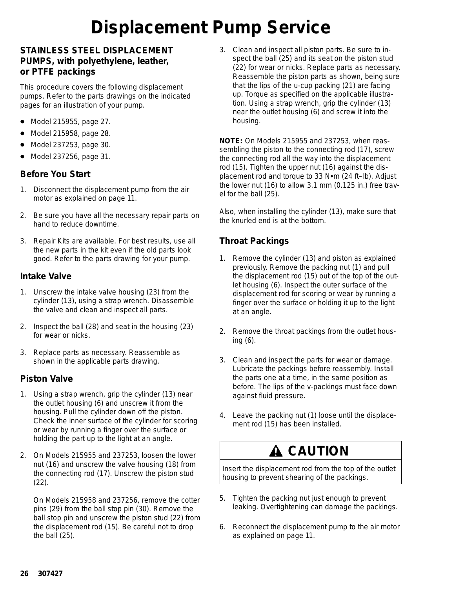# **Displacement Pump Service**

### **STAINLESS STEEL DISPLACEMENT PUMPS, with polyethylene, leather, or PTFE packings**

This procedure covers the following displacement pumps. Refer to the parts drawings on the indicated pages for an illustration of your pump.

- Model 215955, page 27.
- $\bullet$ Model 215958, page 28.
- Model 237253, page 30.
- $\bullet$ Model 237256, page 31.

#### **Before You Start**

- 1. Disconnect the displacement pump from the air motor as explained on page 11.
- 2. Be sure you have all the necessary repair parts on hand to reduce downtime.
- 3. Repair Kits are available. For best results, use all the new parts in the kit even if the old parts look good. Refer to the parts drawing for your pump.

#### **Intake Valve**

- 1. Unscrew the intake valve housing (23) from the cylinder (13), using a strap wrench. Disassemble the valve and clean and inspect all parts.
- 2. Inspect the ball (28) and seat in the housing (23) for wear or nicks.
- 3. Replace parts as necessary. Reassemble as shown in the applicable parts drawing.

### **Piston Valve**

- 1. Using a strap wrench, grip the cylinder (13) near the outlet housing (6) and unscrew it from the housing. Pull the cylinder down off the piston. Check the inner surface of the cylinder for scoring or wear by running a finger over the surface or holding the part up to the light at an angle.
- 2. *On Models 215955 and 237253,* loosen the lower nut (16) and unscrew the valve housing (18) from the connecting rod (17). Unscrew the piston stud (22).

*On Models 215958 and 237256,* remove the cotter pins (29) from the ball stop pin (30). Remove the ball stop pin and unscrew the piston stud (22) from the displacement rod (15). Be careful not to drop the ball (25).

3. Clean and inspect all piston parts. Be sure to inspect the ball (25) and its seat on the piston stud (22) for wear or nicks. Replace parts as necessary. Reassemble the piston parts as shown, *being sure that the lips of the u-cup packing (21) are facing up.* Torque as specified on the applicable illustration. Using a strap wrench, grip the cylinder (13) near the outlet housing (6) and screw it into the housing.

**NOTE:** *On Models 215955 and 237253,* when reassembling the piston to the connecting rod (17), screw the connecting rod all the way into the displacement rod (15). Tighten the upper nut (16) against the displacement rod and torque to 33 N $em$  (24 ft-lb). Adjust the lower nut (16) to allow 3.1 mm (0.125 in.) free travel for the ball (25).

Also, when installing the cylinder (13), make sure that the knurled end is at the bottom.

### **Throat Packings**

- 1. Remove the cylinder (13) and piston as explained previously. Remove the packing nut (1) and pull the displacement rod (15) out of the top of the outlet housing (6). Inspect the outer surface of the displacement rod for scoring or wear by running a finger over the surface or holding it up to the light at an angle.
- 2. Remove the throat packings from the outlet housing (6).
- 3. Clean and inspect the parts for wear or damage. Lubricate the packings before reassembly. Install the parts one at a time, in the same position as before. *The lips of the v-packings must face down against fluid pressure.*
- 4. Leave the packing nut (1) loose until the displacement rod (15) has been installed.

### **A CAUTION**

Insert the displacement rod from the top of the outlet housing to prevent shearing of the packings.

- 5. Tighten the packing nut just enough to prevent leaking. Overtightening can damage the packings.
- 6. Reconnect the displacement pump to the air motor as explained on page 11.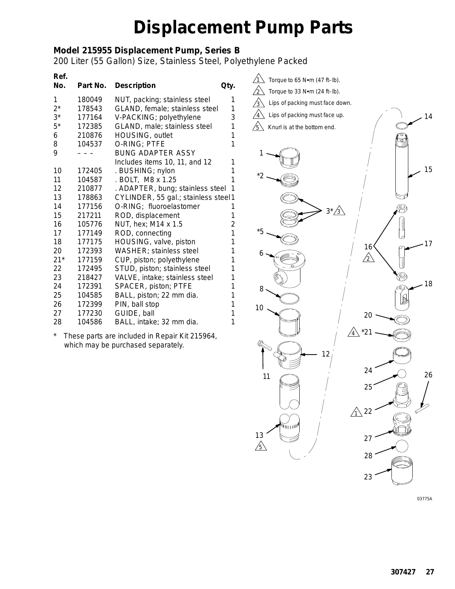### **Model 215955 Displacement Pump, Series B**

200 Liter (55 Gallon) Size, Stainless Steel, Polyethylene Packed

| Ref.<br>No. | Part No. | <b>Description</b>                   | Qty.           |
|-------------|----------|--------------------------------------|----------------|
| 1           | 180049   | NUT, packing; stainless steel        | 1              |
| $2^*$       | 178543   | GLAND, female; stainless steel       | 1              |
| $3^*$       | 177164   | V-PACKING; polyethylene              | 3              |
| $5*$        | 172385   | GLAND, male; stainless steel         | 1              |
| 6           | 210876   | HOUSING, outlet                      | 1              |
| 8           | 104537   | O-RING; PTFE                         | 1              |
| 9           |          | <b>BUNG ADAPTER ASSY</b>             |                |
|             |          | Includes items 10, 11, and 12        | 1              |
| 10          | 172405   | . BUSHING; nylon                     | 1              |
| 11          | 104587   | . BOLT, M8 x 1.25                    | 1              |
| 12          | 210877   | . ADAPTER, bung; stainless steel     | 1              |
| 13          | 178863   | CYLINDER, 55 gal.; stainless steel 1 |                |
| 14          | 177156   | O-RING; fluoroelastomer              | 1              |
| 15          | 217211   | ROD, displacement                    | 1              |
| 16          | 105776   | NUT, hex; M14 x 1.5                  | $\overline{c}$ |
| 17          | 177149   | ROD, connecting                      | 1              |
| 18          | 177175   | HOUSING, valve, piston               | 1              |
| 20          | 172393   | WASHER; stainless steel              | 1              |
| $21*$       | 177159   | CUP, piston; polyethylene            | 1              |
| 22          | 172495   | STUD, piston; stainless steel        | 1              |
| 23          | 218427   | VALVE, intake; stainless steel       | 1              |
| 24          | 172391   | SPACER, piston; PTFE                 | 1              |
| 25          | 104585   | BALL, piston; 22 mm dia.             | 1              |
| 26          | 172399   | PIN, ball stop                       | 1              |
| 27          | 177230   | GUIDE, ball                          | 1              |
| 28          | 104586   | BALL, intake; 32 mm dia.             | 1              |

*\* These parts are included in Repair Kit 215964, which may be purchased separately.*



03775A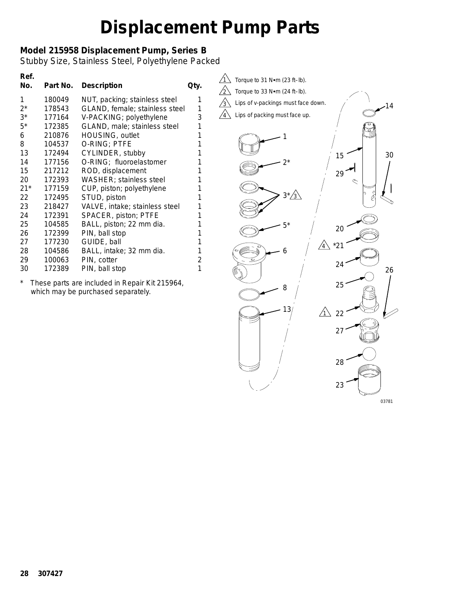### **Model 215958 Displacement Pump, Series B**

Stubby Size, Stainless Steel, Polyethylene Packed

| Ref.<br>No. | Part No. | <b>Description</b>             | Qty. |
|-------------|----------|--------------------------------|------|
| 1           | 180049   | NUT, packing; stainless steel  | 1    |
| $2^*$       | 178543   | GLAND, female; stainless steel | 1    |
| $3^*$       | 177164   | V-PACKING; polyethylene        | 3    |
| $5*$        | 172385   | GLAND, male; stainless steel   | 1    |
| 6           | 210876   | HOUSING, outlet                | 1    |
| 8           | 104537   | o-ring; PTFE                   | 1    |
| 13          | 172494   | CYLINDER, stubby               | 1    |
| 14          | 177156   | O-RING; fluoroelastomer        | 1    |
| 15          | 217212   | ROD, displacement              | 1    |
| 20          | 172393   | <b>WASHER; stainless steel</b> | 1    |
| $21*$       | 177159   | CUP, piston; polyethylene      | 1    |
| 22          | 172495   | STUD, piston                   | 1    |
| 23          | 218427   | VALVE, intake; stainless steel | 1    |
| 24          | 172391   | SPACER, piston; PTFE           | 1    |
| 25          | 104585   | BALL, piston; 22 mm dia.       | 1    |
| 26          | 172399   | PIN, ball stop                 | 1    |
| 27          | 177230   | GUIDE, ball                    | 1    |
| 28          | 104586   | BALL, intake; 32 mm dia.       | 1    |
| 29          | 100063   | PIN, cotter                    | 2    |
| 30          | 172389   | PIN, ball stop                 | 1    |
|             |          |                                |      |

*\* These parts are included in Repair Kit 215964, which may be purchased separately.*

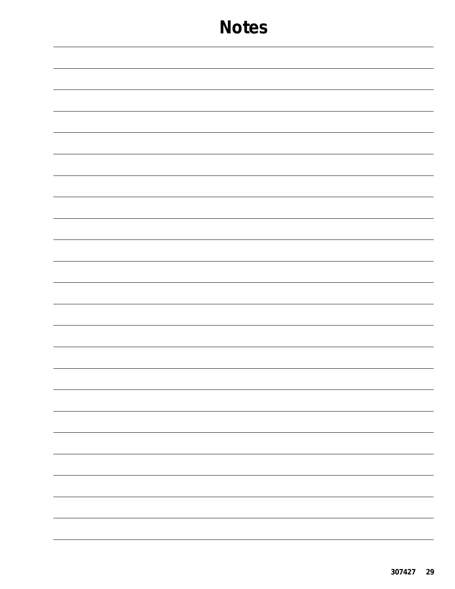|  | $\frac{1}{2} \left( \frac{1}{2} \right) \left( \frac{1}{2} \right) \left( \frac{1}{2} \right) \left( \frac{1}{2} \right) \left( \frac{1}{2} \right) \left( \frac{1}{2} \right) \left( \frac{1}{2} \right) \left( \frac{1}{2} \right) \left( \frac{1}{2} \right) \left( \frac{1}{2} \right) \left( \frac{1}{2} \right) \left( \frac{1}{2} \right) \left( \frac{1}{2} \right) \left( \frac{1}{2} \right) \left( \frac{1}{2} \right) \left( \frac{1}{2} \right) \left( \frac$ |
|--|----------------------------------------------------------------------------------------------------------------------------------------------------------------------------------------------------------------------------------------------------------------------------------------------------------------------------------------------------------------------------------------------------------------------------------------------------------------------------|
|  |                                                                                                                                                                                                                                                                                                                                                                                                                                                                            |
|  |                                                                                                                                                                                                                                                                                                                                                                                                                                                                            |
|  |                                                                                                                                                                                                                                                                                                                                                                                                                                                                            |
|  |                                                                                                                                                                                                                                                                                                                                                                                                                                                                            |
|  |                                                                                                                                                                                                                                                                                                                                                                                                                                                                            |
|  |                                                                                                                                                                                                                                                                                                                                                                                                                                                                            |
|  |                                                                                                                                                                                                                                                                                                                                                                                                                                                                            |
|  |                                                                                                                                                                                                                                                                                                                                                                                                                                                                            |
|  |                                                                                                                                                                                                                                                                                                                                                                                                                                                                            |
|  | —<br>—                                                                                                                                                                                                                                                                                                                                                                                                                                                                     |
|  |                                                                                                                                                                                                                                                                                                                                                                                                                                                                            |
|  |                                                                                                                                                                                                                                                                                                                                                                                                                                                                            |
|  |                                                                                                                                                                                                                                                                                                                                                                                                                                                                            |
|  |                                                                                                                                                                                                                                                                                                                                                                                                                                                                            |
|  |                                                                                                                                                                                                                                                                                                                                                                                                                                                                            |
|  | $\sim$ $\sim$ $\sim$                                                                                                                                                                                                                                                                                                                                                                                                                                                       |
|  |                                                                                                                                                                                                                                                                                                                                                                                                                                                                            |
|  |                                                                                                                                                                                                                                                                                                                                                                                                                                                                            |
|  |                                                                                                                                                                                                                                                                                                                                                                                                                                                                            |
|  |                                                                                                                                                                                                                                                                                                                                                                                                                                                                            |
|  |                                                                                                                                                                                                                                                                                                                                                                                                                                                                            |
|  |                                                                                                                                                                                                                                                                                                                                                                                                                                                                            |
|  |                                                                                                                                                                                                                                                                                                                                                                                                                                                                            |
|  |                                                                                                                                                                                                                                                                                                                                                                                                                                                                            |
|  |                                                                                                                                                                                                                                                                                                                                                                                                                                                                            |
|  |                                                                                                                                                                                                                                                                                                                                                                                                                                                                            |
|  | -                                                                                                                                                                                                                                                                                                                                                                                                                                                                          |
|  |                                                                                                                                                                                                                                                                                                                                                                                                                                                                            |
|  |                                                                                                                                                                                                                                                                                                                                                                                                                                                                            |
|  |                                                                                                                                                                                                                                                                                                                                                                                                                                                                            |
|  |                                                                                                                                                                                                                                                                                                                                                                                                                                                                            |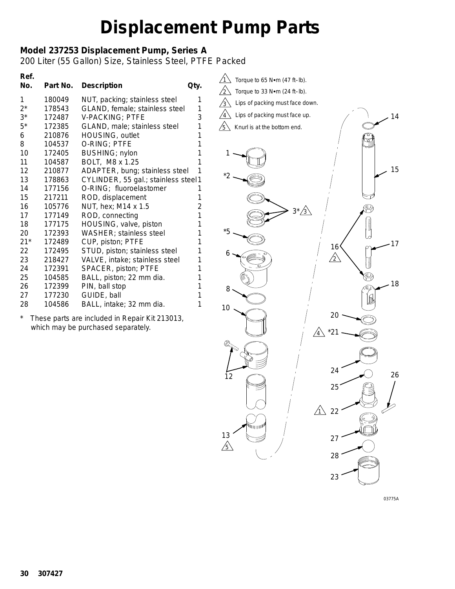### **Model 237253 Displacement Pump, Series A**

200 Liter (55 Gallon) Size, Stainless Steel, PTFE Packed

| Ref.<br>No. | Part No. | <b>Description</b>                   | Qty. |
|-------------|----------|--------------------------------------|------|
| 1           | 180049   | NUT, packing; stainless steel        | 1    |
| $2^*$       | 178543   | GLAND, female; stainless steel       | 1    |
| $3^*$       | 172487   | <b>V-PACKING; PTFE</b>               | 3    |
| $5*$        | 172385   | GLAND, male; stainless steel         | 1    |
| 6           | 210876   | HOUSING, outlet                      | 1    |
| 8           | 104537   | O-RING; PTFE                         | 1    |
| 10          | 172405   | BUSHING; nylon                       | 1    |
| 11          | 104587   | BOLT, M8 x 1.25                      | 1    |
| 12          | 210877   | ADAPTER, bung; stainless steel       | 1    |
| 13          | 178863   | CYLINDER, 55 gal.; stainless steel 1 |      |
| 14          | 177156   | O-RING; fluoroelastomer              | 1    |
| 15          | 217211   | ROD, displacement                    | 1    |
| 16          | 105776   | NUT, hex; M14 x 1.5                  | 2    |
| 17          | 177149   | ROD, connecting                      | 1    |
| 18          | 177175   | HOUSING, valve, piston               | 1    |
| 20          | 172393   | WASHER; stainless steel              | 1    |
| $21*$       | 172489   | CUP, piston; PTFE                    | 1    |
| 22          | 172495   | STUD, piston; stainless steel        | 1    |
| 23          | 218427   | VALVE, intake; stainless steel       | 1    |
| 24          | 172391   | SPACER, piston; PTFE                 | 1    |
| 25          | 104585   | BALL, piston; 22 mm dia.             | 1    |
| 26          | 172399   | PIN, ball stop                       | 1    |
| 27          | 177230   | GUIDE, ball                          | 1    |
| 28          | 104586   | BALL, intake; 32 mm dia.             | 1    |

*\* These parts are included in Repair Kit 213013, which may be purchased separately.*



03775A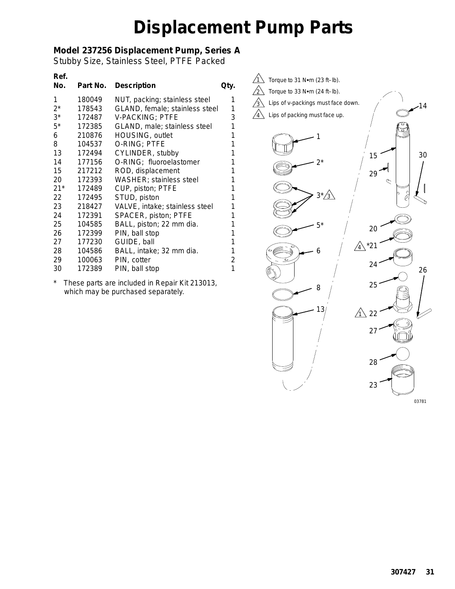### **Model 237256 Displacement Pump, Series A**

Stubby Size, Stainless Steel, PTFE Packed

|        | <b>Description</b>             | Qty.                                      |
|--------|--------------------------------|-------------------------------------------|
| 180049 |                                | 1                                         |
| 178543 | GLAND, female; stainless steel | 1                                         |
| 172487 | <b>V-PACKING; PTFE</b>         | 3                                         |
| 172385 | GLAND, male; stainless steel   | 1                                         |
| 210876 | HOUSING, outlet                | 1                                         |
| 104537 | O-RING; PTFE                   | 1                                         |
| 172494 | CYLINDER, stubby               | 1                                         |
| 177156 | O-RING; fluoroelastomer        | 1                                         |
| 217212 | ROD, displacement              | 1                                         |
| 172393 | <b>WASHER; stainless steel</b> | 1                                         |
| 172489 | CUP, piston; PTFE              | 1                                         |
| 172495 | STUD, piston                   | 1                                         |
| 218427 | VALVE, intake; stainless steel | 1                                         |
| 172391 | SPACER, piston; PTFE           | 1                                         |
| 104585 | BALL, piston; 22 mm dia.       | 1                                         |
| 172399 | PIN, ball stop                 | 1                                         |
| 177230 | GUIDE, ball                    | 1                                         |
| 104586 | BALL, intake; 32 mm dia.       | 1                                         |
| 100063 | PIN, cotter                    | 2                                         |
| 172389 | PIN, ball stop                 | 1                                         |
|        |                                | Part No.<br>NUT, packing; stainless steel |

*\* These parts are included in Repair Kit 213013, which may be purchased separately.*

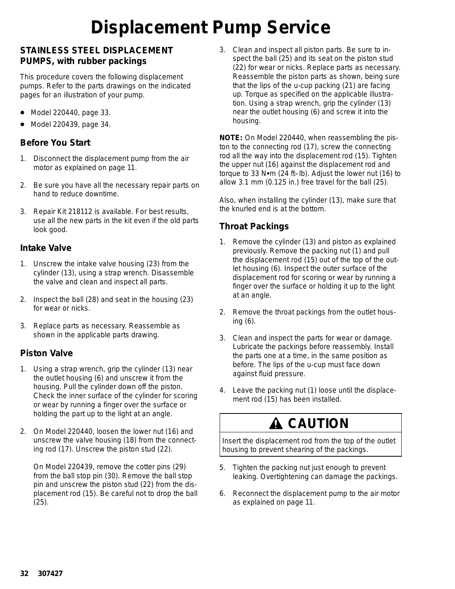# **Displacement Pump Service**

### **STAINLESS STEEL DISPLACEMENT PUMPS, with rubber packings**

This procedure covers the following displacement pumps. Refer to the parts drawings on the indicated pages for an illustration of your pump.

- $\bullet$ Model 220440, page 33.
- $\bullet$ Model 220439, page 34.

### **Before You Start**

- 1. Disconnect the displacement pump from the air motor as explained on page 11.
- 2. Be sure you have all the necessary repair parts on hand to reduce downtime.
- 3. Repair Kit 218112 is available. For best results, use all the new parts in the kit even if the old parts look good.

#### **Intake Valve**

- 1. Unscrew the intake valve housing (23) from the cylinder (13), using a strap wrench. Disassemble the valve and clean and inspect all parts.
- 2. Inspect the ball (28) and seat in the housing (23) for wear or nicks.
- 3. Replace parts as necessary. Reassemble as shown in the applicable parts drawing.

#### **Piston Valve**

- 1. Using a strap wrench, grip the cylinder (13) near the outlet housing (6) and unscrew it from the housing. Pull the cylinder down off the piston. Check the inner surface of the cylinder for scoring or wear by running a finger over the surface or holding the part up to the light at an angle.
- 2. *On Model 220440,* loosen the lower nut (16) and unscrew the valve housing (18) from the connecting rod (17). Unscrew the piston stud (22).

*On Model 220439,* remove the cotter pins (29) from the ball stop pin (30). Remove the ball stop pin and unscrew the piston stud (22) from the displacement rod (15). Be careful not to drop the ball (25).

3. Clean and inspect all piston parts. Be sure to inspect the ball (25) and its seat on the piston stud (22) for wear or nicks. Replace parts as necessary. Reassemble the piston parts as shown, *being sure that the lips of the u-cup packing (21) are facing up.* Torque as specified on the applicable illustration. Using a strap wrench, grip the cylinder (13) near the outlet housing (6) and screw it into the housing.

**NOTE:** *On Model 220440,* when reassembling the piston to the connecting rod (17), screw the connecting rod all the way into the displacement rod (15). Tighten the upper nut (16) against the displacement rod and torque to 33 N•m (24 ft–lb). Adjust the lower nut (16) to allow 3.1 mm (0.125 in.) free travel for the ball (25).

Also, when installing the cylinder (13), make sure that the knurled end is at the bottom.

### **Throat Packings**

- 1. Remove the cylinder (13) and piston as explained previously. Remove the packing nut (1) and pull the displacement rod (15) out of the top of the outlet housing (6). Inspect the outer surface of the displacement rod for scoring or wear by running a finger over the surface or holding it up to the light at an angle.
- 2. Remove the throat packings from the outlet housing (6).
- 3. Clean and inspect the parts for wear or damage. Lubricate the packings before reassembly. Install the parts one at a time, in the same position as before. *The lips of the u-cup must face down against fluid pressure.*
- 4. Leave the packing nut (1) loose until the displacement rod (15) has been installed.

### **A CAUTION**

Insert the displacement rod from the top of the outlet housing to prevent shearing of the packings.

- 5. Tighten the packing nut just enough to prevent leaking. Overtightening can damage the packings.
- 6. Reconnect the displacement pump to the air motor as explained on page 11.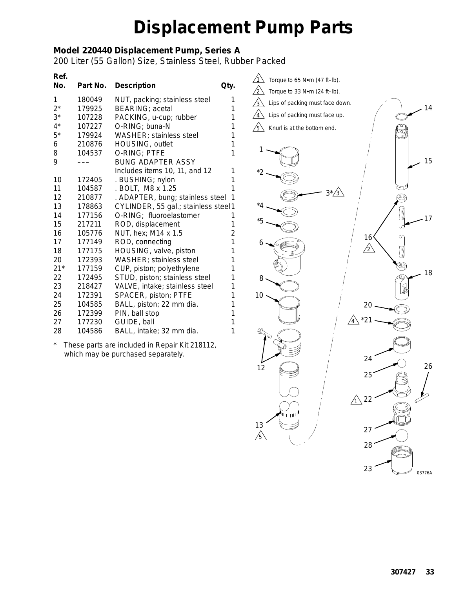### **Model 220440 Displacement Pump, Series A**

200 Liter (55 Gallon) Size, Stainless Steel, Rubber Packed

| Ref.<br>No. | Part No. | <b>Description</b>                   | Qty.           |
|-------------|----------|--------------------------------------|----------------|
| 1           | 180049   | NUT, packing; stainless steel        | 1              |
| $2^*$       | 179925   | <b>BEARING</b> ; acetal              | 1              |
| $3^*$       | 107228   | PACKING, u-cup; rubber               | 1              |
| $4^*$       | 107227   | O-RING; buna-N                       | 1              |
| $5^*$       | 179924   | <b>WASHER</b> ; stainless steel      | 1              |
| 6           | 210876   | HOUSING, outlet                      | 1              |
| 8           | 104537   | O-RING; PTFE                         | 1              |
| 9           |          | <b>BUNG ADAPTER ASSY</b>             |                |
|             |          | Includes items 10, 11, and 12        | 1              |
| 10          | 172405   | . BUSHING; nylon                     | 1              |
| 11          | 104587   | . BOLT, M8 x 1.25                    | 1              |
| 12          | 210877   | . ADAPTER, bung; stainless steel     | 1              |
| 13          | 178863   | CYLINDER, 55 gal.; stainless steel 1 |                |
| 14          | 177156   | O-RING; fluoroelastomer              | 1              |
| 15          | 217211   | ROD, displacement                    | 1              |
| 16          | 105776   | NUT, hex; M14 x 1.5                  | $\overline{2}$ |
| 17          | 177149   | ROD, connecting                      | 1              |
| 18          | 177175   | HOUSING, valve, piston               | 1              |
| 20          | 172393   | WASHER; stainless steel              | 1              |
| $21*$       | 177159   | CUP, piston; polyethylene            | 1              |
| 22          | 172495   | STUD, piston; stainless steel        | 1              |
| 23          | 218427   | VALVE, intake; stainless steel       | 1              |
| 24          | 172391   | SPACER, piston; PTFE                 | 1              |
| 25          | 104585   | BALL, piston; 22 mm dia.             | 1              |
| 26          | 172399   | PIN, ball stop                       | 1              |
| 27          | 177230   | GUIDE, ball                          | 1              |
| 28          | 104586   | BALL, intake; 32 mm dia.             | 1              |

*\* These parts are included in Repair Kit 218112, which may be purchased separately.*

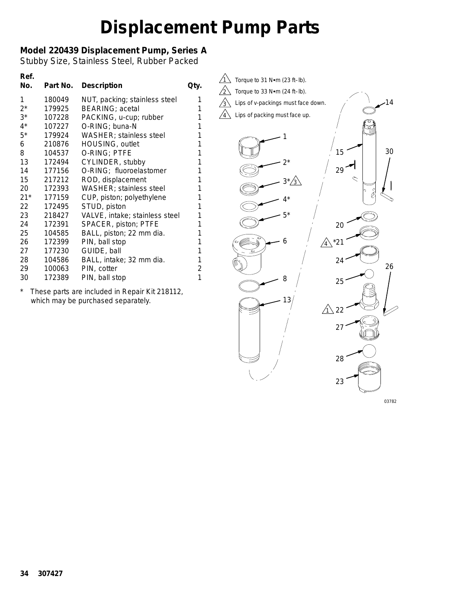### **Model 220439 Displacement Pump, Series A**

Stubby Size, Stainless Steel, Rubber Packed

| Ref.<br>No. | Part No. | <b>Description</b>             | Qty.           |
|-------------|----------|--------------------------------|----------------|
| 1           | 180049   | NUT, packing; stainless steel  | 1              |
| $2^*$       | 179925   | <b>BEARING; acetal</b>         | 1              |
| $3^*$       | 107228   | PACKING, u-cup; rubber         | 1              |
| $4^*$       | 107227   | O-RING; buna-N                 | 1              |
| $5^*$       | 179924   | WASHER; stainless steel        | 1              |
| 6           | 210876   | HOUSING, outlet                | 1              |
| 8           | 104537   | O-RING; PTFE                   | 1              |
| 13          | 172494   | CYLINDER, stubby               | 1              |
| 14          | 177156   | O-RING; fluoroelastomer        | 1              |
| 15          | 217212   | ROD, displacement              | 1              |
| 20          | 172393   | WASHER; stainless steel        | 1              |
| $21*$       | 177159   | CUP, piston; polyethylene      | 1              |
| 22          | 172495   | STUD, piston                   | 1              |
| 23          | 218427   | VALVE, intake; stainless steel | 1              |
| 24          | 172391   | SPACER, piston; PTFE           | 1              |
| 25          | 104585   | BALL, piston; 22 mm dia.       | 1              |
| 26          | 172399   | PIN, ball stop                 | 1              |
| 27          | 177230   | GUIDE, ball                    | 1              |
| 28          | 104586   | BALL, intake; 32 mm dia.       | 1              |
| 29          | 100063   | PIN, cotter                    | $\overline{c}$ |
| 30          | 172389   | PIN, ball stop                 | 1              |

*\* These parts are included in Repair Kit 218112, which may be purchased separately.*



03782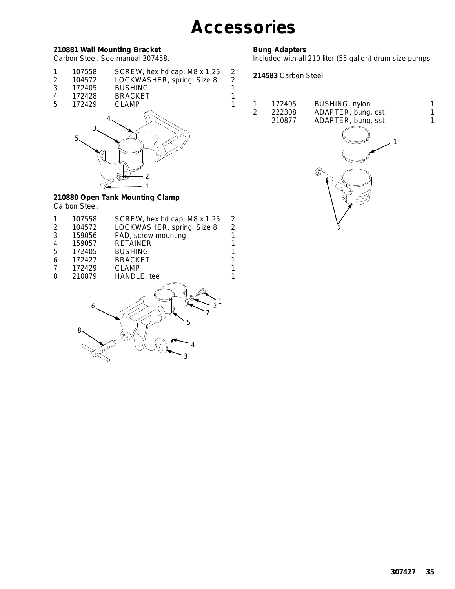### **Accessories**

#### **210881 Wall Mounting Bracket**

Carbon Steel. See manual 307458.

| 107558 | SCREW, hex hd cap; M8 x 1.25                                                                                                                                                                                                                                                                                                           |  |
|--------|----------------------------------------------------------------------------------------------------------------------------------------------------------------------------------------------------------------------------------------------------------------------------------------------------------------------------------------|--|
| 101572 | $1$ $\cap$ $\cap$ $\vee$ $\wedge$ $\wedge$ $\wedge$ $\wedge$ $\wedge$ $\wedge$ $\wedge$ $\wedge$ $\wedge$ $\wedge$ $\wedge$ $\wedge$ $\wedge$ $\wedge$ $\wedge$ $\wedge$ $\wedge$ $\wedge$ $\wedge$ $\wedge$ $\wedge$ $\wedge$ $\wedge$ $\wedge$ $\wedge$ $\wedge$ $\wedge$ $\wedge$ $\wedge$ $\wedge$ $\wedge$ $\wedge$ $\wedge$ $\w$ |  |

- 2 104572 LOCKWASHER, spring, Size 8 2<br>3 172405 BUSHING 1
- 3 172405 BUSHING<br>4 172428 BRACKET 4 172428 BRACKET 1<br>5 172429 CLAMP 1
- 172429 CLAMP 1



#### **210880 Open Tank Mounting Clamp** Carbon Steel.

|   | 107558 | SCREW, hex hd cap; M8 x 1.25 | 2              |
|---|--------|------------------------------|----------------|
| 2 | 104572 | LOCKWASHER, spring, Size 8   | $\overline{c}$ |
| 3 | 159056 | PAD, screw mounting          | 1              |
| 4 | 159057 | <b>RETAINER</b>              |                |
| 5 | 172405 | <b>BUSHING</b>               |                |
| 6 | 172427 | <b>BRACKET</b>               |                |
|   | 172429 | <b>CLAMP</b>                 |                |
| 8 | 210879 | HANDLE, tee                  |                |
|   |        | a.                           |                |

8 6 3 4 5 7 2 1

#### **Bung Adapters**

Included with all 210 liter (55 gallon) drum size pumps.

**214583** Carbon Steel

|    | 172405 | BUSHING, nylon     |  |
|----|--------|--------------------|--|
| -2 | 222308 | ADAPTER, bung, cst |  |
|    | 210877 | ADAPTER, bung, sst |  |

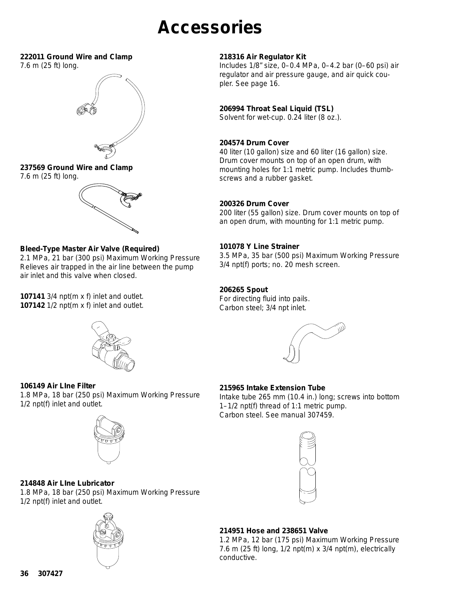### **Accessories**

#### **222011 Ground Wire and Clamp**

7.6 m (25 ft) long.



### **237569 Ground Wire and Clamp**

7.6 m (25 ft) long.



#### **Bleed-Type Master Air Valve (Required)**

*2.1 MPa, 21 bar (300 psi) Maximum Working Pressure* Relieves air trapped in the air line between the pump air inlet and this valve when closed.

**107141** 3/4 npt(m x f) inlet and outlet. **107142** 1/2 npt(m x f) inlet and outlet.



Includes 1/8" size, 0–0.4 MPa, 0–4.2 bar (0–60 psi) air regulator and air pressure gauge, and air quick coupler. See page 16.

#### **206994 Throat Seal Liquid (TSL)**

Solvent for wet-cup. 0.24 liter (8 oz.).

#### **204574 Drum Cover**

40 liter (10 gallon) size and 60 liter (16 gallon) size. Drum cover mounts on top of an open drum, with mounting holes for 1:1 metric pump. Includes thumbscrews and a rubber gasket.

#### **200326 Drum Cover**

200 liter (55 gallon) size. Drum cover mounts on top of an open drum, with mounting for 1:1 metric pump.

#### **101078 Y Line Strainer**

*3.5 MPa, 35 bar (500 psi) Maximum Working Pressure* 3/4 npt(f) ports; no. 20 mesh screen.

#### **206265 Spout**

For directing fluid into pails. Carbon steel; 3/4 npt inlet.



#### **215965 Intake Extension Tube**

Intake tube 265 mm (10.4 in.) long; screws into bottom 1–1/2 npt(f) thread of 1:1 metric pump. Carbon steel. See manual 307459.





*1.8 MPa, 18 bar (250 psi) Maximum Working Pressure*

#### **214848 Air LIne Lubricator**

**106149 Air LIne Filter** 

1/2 npt(f) inlet and outlet.

*1.8 MPa, 18 bar (250 psi) Maximum Working Pressure* 1/2 npt(f) inlet and outlet.



#### **214951 Hose and 238651 Valve**

*1.2 MPa, 12 bar (175 psi) Maximum Working Pressure* 7.6 m (25 ft) long,  $1/2$  npt(m) x  $3/4$  npt(m), electrically conductive.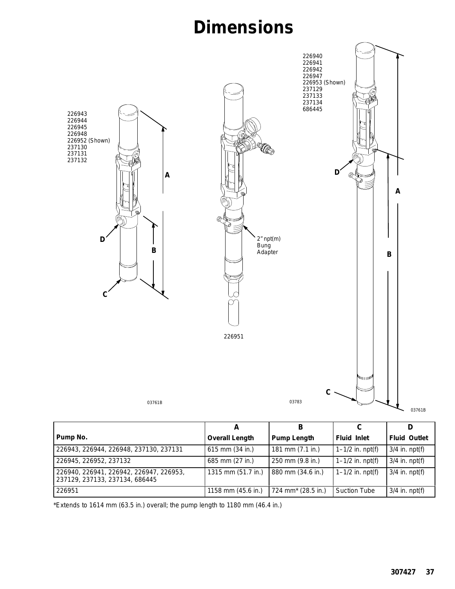### **Dimensions**



|                                                                           |                       | в                              |                      |                     |
|---------------------------------------------------------------------------|-----------------------|--------------------------------|----------------------|---------------------|
| Pump No.                                                                  | <b>Overall Length</b> | <b>Pump Length</b>             | <b>Fluid Inlet</b>   | <b>Fluid Outlet</b> |
| 226943, 226944, 226948, 237130, 237131                                    | 615 mm (34 in.)       | 181 mm (7.1 in.)               | $1 - 1/2$ in. npt(f) | $3/4$ in. npt(f)    |
| 226945, 226952, 237132                                                    | 685 mm (27 in.)       | 250 mm (9.8 in.)               | $1 - 1/2$ in. npt(f) | $3/4$ in. npt(f)    |
| 226940, 226941, 226942, 226947, 226953,<br>237129, 237133, 237134, 686445 | 1315 mm (51.7 in.)    | 880 mm (34.6 in.)              | $1 - 1/2$ in. npt(f) | $3/4$ in. npt(f)    |
| 226951                                                                    | 1158 mm (45.6 in.)    | 724 mm <sup>*</sup> (28.5 in.) | <b>Suction Tube</b>  | $3/4$ in. npt(f)    |

\*Extends to 1614 mm (63.5 in.) overall; the pump length to 1180 mm (46.4 in.)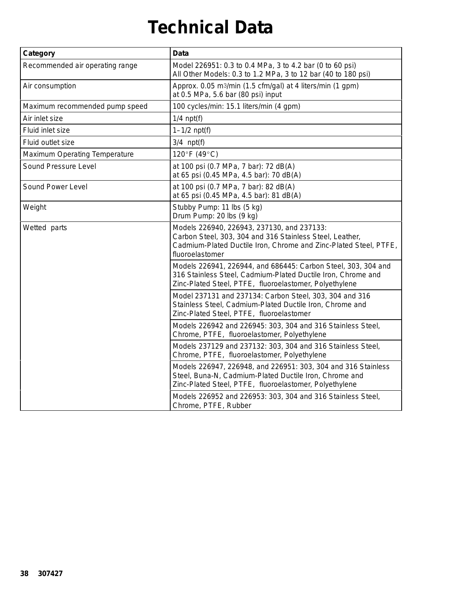# **Technical Data**

| Category                             | <b>Data</b>                                                                                                                                                                                   |
|--------------------------------------|-----------------------------------------------------------------------------------------------------------------------------------------------------------------------------------------------|
| Recommended air operating range      | Model 226951: 0.3 to 0.4 MPa, 3 to 4.2 bar (0 to 60 psi)<br>All Other Models: 0.3 to 1.2 MPa, 3 to 12 bar (40 to 180 psi)                                                                     |
| Air consumption                      | Approx. 0.05 m <sup>3</sup> /min (1.5 cfm/gal) at 4 liters/min (1 gpm)<br>at 0.5 MPa, 5.6 bar (80 psi) input                                                                                  |
| Maximum recommended pump speed       | 100 cycles/min: 15.1 liters/min (4 gpm)                                                                                                                                                       |
| Air inlet size                       | $1/4$ npt(f)                                                                                                                                                                                  |
| Fluid inlet size                     | $1 - 1/2$ npt(f)                                                                                                                                                                              |
| Fluid outlet size                    | $3/4$ npt(f)                                                                                                                                                                                  |
| <b>Maximum Operating Temperature</b> | 120°F (49°C)                                                                                                                                                                                  |
| Sound Pressure Level                 | at 100 psi (0.7 MPa, 7 bar): 72 dB(A)<br>at 65 psi (0.45 MPa, 4.5 bar): 70 dB(A)                                                                                                              |
| Sound Power Level                    | at 100 psi (0.7 MPa, 7 bar): 82 dB(A)<br>at 65 psi (0.45 MPa, 4.5 bar): 81 dB(A)                                                                                                              |
| Weight                               | Stubby Pump: 11 lbs (5 kg)<br>Drum Pump: 20 lbs (9 kg)                                                                                                                                        |
| Wetted parts                         | Models 226940, 226943, 237130, and 237133:<br>Carbon Steel, 303, 304 and 316 Stainless Steel, Leather,<br>Cadmium-Plated Ductile Iron, Chrome and Zinc-Plated Steel, PTFE,<br>fluoroelastomer |
|                                      | Models 226941, 226944, and 686445: Carbon Steel, 303, 304 and<br>316 Stainless Steel, Cadmium-Plated Ductile Iron, Chrome and<br>Zinc-Plated Steel, PTFE, fluoroelastomer, Polyethylene       |
|                                      | Model 237131 and 237134: Carbon Steel, 303, 304 and 316<br>Stainless Steel, Cadmium-Plated Ductile Iron, Chrome and<br>Zinc-Plated Steel, PTFE, fluoroelastomer                               |
|                                      | Models 226942 and 226945: 303, 304 and 316 Stainless Steel,<br>Chrome, PTFE, fluoroelastomer, Polyethylene                                                                                    |
|                                      | Models 237129 and 237132: 303, 304 and 316 Stainless Steel,<br>Chrome, PTFE, fluoroelastomer, Polyethylene                                                                                    |
|                                      | Models 226947, 226948, and 226951: 303, 304 and 316 Stainless<br>Steel, Buna-N, Cadmium-Plated Ductile Iron, Chrome and<br>Zinc-Plated Steel, PTFE, fluoroelastomer, Polyethylene             |
|                                      | Models 226952 and 226953: 303, 304 and 316 Stainless Steel,<br>Chrome, PTFE, Rubber                                                                                                           |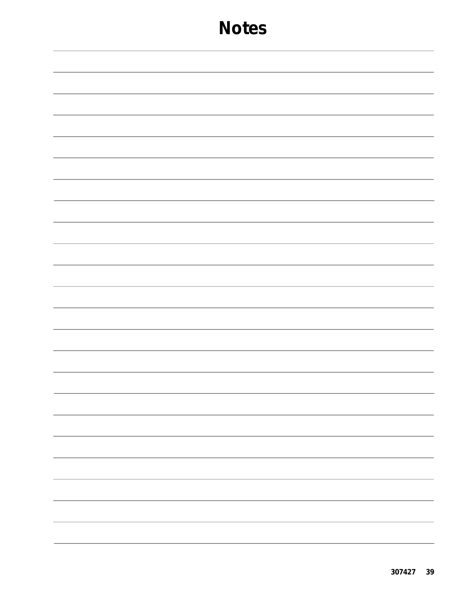| - |
|---|
|   |
|   |
|   |
|   |
|   |
|   |
|   |
|   |
|   |
|   |
|   |
|   |
|   |
|   |
|   |
|   |
|   |
|   |
|   |
|   |
|   |
|   |
|   |
|   |